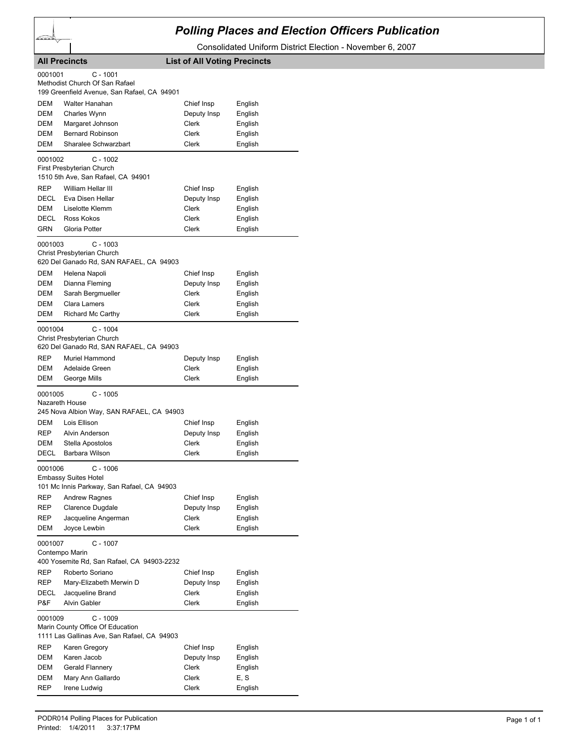

## *Polling Places and Election Officers Publication*

Consolidated Uniform District Election - November 6, 2007

|                       | <b>All Precincts</b>                                                                                                           | <b>List of All Voting Precincts</b> |                    |
|-----------------------|--------------------------------------------------------------------------------------------------------------------------------|-------------------------------------|--------------------|
| 0001001               | $C - 1001$<br>Methodist Church Of San Rafael<br>199 Greenfield Avenue, San Rafael, CA 94901                                    |                                     |                    |
| <b>DEM</b>            | Walter Hanahan                                                                                                                 | Chief Insp                          | English            |
| DEM                   | Charles Wynn                                                                                                                   | Deputy Insp                         | English            |
| DEM                   | Margaret Johnson                                                                                                               | Clerk                               | English            |
| DEM                   | <b>Bernard Robinson</b>                                                                                                        | Clerk                               | English            |
| DEM                   | Sharalee Schwarzbart                                                                                                           | Clerk                               | English            |
| 0001002               | $C - 1002$<br>First Presbyterian Church<br>1510 5th Ave, San Rafael, CA 94901                                                  |                                     |                    |
| <b>REP</b>            | William Hellar III                                                                                                             | Chief Insp                          | English            |
| DECL                  | Eva Disen Hellar                                                                                                               | Deputy Insp                         | English            |
| DEM                   | Liselotte Klemm                                                                                                                | Clerk                               | English            |
| DECL                  | Ross Kokos                                                                                                                     | Clerk                               | English            |
| GRN                   | Gloria Potter                                                                                                                  | Clerk                               | English            |
| 0001003               | $C - 1003$<br>Christ Presbyterian Church<br>620 Del Ganado Rd, SAN RAFAEL, CA 94903                                            |                                     |                    |
| DEM                   | Helena Napoli                                                                                                                  | Chief Insp                          | English            |
| DEM                   | Dianna Fleming                                                                                                                 | Deputy Insp                         | English            |
| DEM                   | Sarah Bergmueller                                                                                                              | Clerk                               | English            |
| DEM                   | Clara Lamers                                                                                                                   | Clerk                               | English            |
| DEM                   | <b>Richard Mc Carthy</b>                                                                                                       | Clerk                               | English            |
| 0001004<br>REP<br>DEM | $C - 1004$<br>Christ Presbyterian Church<br>620 Del Ganado Rd, SAN RAFAEL, CA 94903<br><b>Muriel Hammond</b><br>Adelaide Green | Deputy Insp<br>Clerk                | English<br>English |
| DEM                   | George Mills                                                                                                                   | Clerk                               | English            |
| 0001005               | $C - 1005$<br>Nazareth House<br>245 Nova Albion Way, SAN RAFAEL, CA 94903                                                      |                                     |                    |
| DEM                   | Lois Ellison                                                                                                                   | Chief Insp                          | English            |
| <b>REP</b>            | Alvin Anderson                                                                                                                 | Deputy Insp                         | English            |
| DEM                   | Stella Apostolos                                                                                                               | Clerk                               | English            |
| DECL                  | Barbara Wilson                                                                                                                 | Clerk                               | English            |
| 0001006               | $C - 1006$<br><b>Embassy Suites Hotel</b><br>101 Mc Innis Parkway, San Rafael, CA 94903                                        |                                     |                    |
| REP                   | <b>Andrew Ragnes</b>                                                                                                           | Chief Insp                          | English            |
| REP                   | <b>Clarence Dugdale</b>                                                                                                        | Deputy Insp                         | English            |
| REP                   | Jacqueline Angerman                                                                                                            | Clerk                               | English            |
| DEM                   | Joyce Lewbin                                                                                                                   | <b>Clerk</b>                        | English            |
| 0001007               | $C - 1007$<br>Contempo Marin<br>400 Yosemite Rd, San Rafael, CA 94903-2232                                                     |                                     |                    |
| REP                   | Roberto Soriano                                                                                                                | Chief Insp                          | English            |
| REP                   | Mary-Elizabeth Merwin D                                                                                                        | Deputy Insp                         | English            |
| DECL                  | Jacqueline Brand                                                                                                               | Clerk                               | English            |
| P&F                   | <b>Alvin Gabler</b>                                                                                                            | Clerk                               | English            |
| 0001009               | $C - 1009$<br>Marin County Office Of Education<br>1111 Las Gallinas Ave, San Rafael, CA 94903                                  |                                     |                    |
| REP                   | Karen Gregory                                                                                                                  | Chief Insp                          | English            |
| DEM                   | Karen Jacob                                                                                                                    | Deputy Insp                         | English            |
| DEM                   | Gerald Flannery                                                                                                                | Clerk                               | English            |
| DEM                   | Mary Ann Gallardo                                                                                                              | Clerk                               | E, S               |
| REP                   | Irene Ludwig                                                                                                                   | Clerk                               | English            |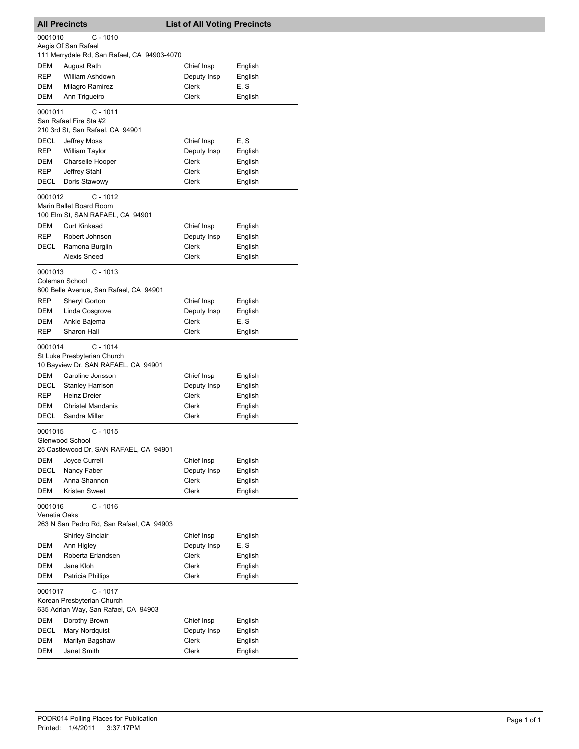|              | <b>All Precincts</b>                                                             | <b>List of All Voting Precincts</b> |                    |
|--------------|----------------------------------------------------------------------------------|-------------------------------------|--------------------|
| 0001010      | C - 1010                                                                         |                                     |                    |
|              | Aegis Of San Rafael                                                              |                                     |                    |
|              | 111 Merrydale Rd, San Rafael, CA 94903-4070                                      |                                     |                    |
| DEM          | August Rath                                                                      | Chief Insp                          | English            |
| <b>REP</b>   | William Ashdown                                                                  | Deputy Insp                         | English            |
| DEM          | Milagro Ramirez                                                                  | Clerk                               | E, S               |
| DEM          | Ann Trigueiro                                                                    | Clerk                               | English            |
| 0001011      | $C - 1011$                                                                       |                                     |                    |
|              | San Rafael Fire Sta #2                                                           |                                     |                    |
|              | 210 3rd St, San Rafael, CA 94901                                                 |                                     |                    |
| DECL         | Jeffrey Moss                                                                     | Chief Insp                          | E, S               |
| REP          | <b>William Taylor</b>                                                            | Deputy Insp                         | English            |
| DEM          | Charselle Hooper                                                                 | Clerk                               | English            |
| <b>REP</b>   | Jeffrey Stahl                                                                    | Clerk                               | English            |
| DECL         | Doris Stawowy                                                                    | Clerk                               | English            |
| 0001012      | $C - 1012$                                                                       |                                     |                    |
|              | Marin Ballet Board Room                                                          |                                     |                    |
|              | 100 Elm St, SAN RAFAEL, CA 94901                                                 |                                     |                    |
| DEM          | <b>Curt Kinkead</b>                                                              | Chief Insp                          | English            |
| REP          | Robert Johnson                                                                   | Deputy Insp                         | English            |
| DECL         | Ramona Burglin                                                                   | Clerk                               | English            |
|              | <b>Alexis Sneed</b>                                                              | Clerk                               | English            |
| 0001013      | C - 1013                                                                         |                                     |                    |
|              | Coleman School                                                                   |                                     |                    |
|              | 800 Belle Avenue, San Rafael, CA 94901                                           |                                     |                    |
| <b>REP</b>   | Sheryl Gorton                                                                    | Chief Insp                          | English            |
| <b>DEM</b>   | Linda Cosgrove                                                                   | Deputy Insp                         | English            |
| DEM          | Ankie Bajema                                                                     | Clerk                               | E, S               |
| REP          | Sharon Hall                                                                      | Clerk                               | English            |
| 0001014      | $C - 1014$<br>St Luke Presbyterian Church<br>10 Bayview Dr, SAN RAFAEL, CA 94901 |                                     |                    |
| DEM          | Caroline Jonsson                                                                 | Chief Insp                          | English            |
| DECL         | <b>Stanley Harrison</b>                                                          | Deputy Insp                         | English            |
| REP          | <b>Heinz Dreier</b>                                                              | Clerk                               | English            |
| DEM          | <b>Christel Mandanis</b>                                                         | Clerk                               | English            |
| DECL         | Sandra Miller                                                                    | Clerk                               | English            |
| 0001015      | $C - 1015$                                                                       |                                     |                    |
|              | Glenwood School                                                                  |                                     |                    |
|              | 25 Castlewood Dr, SAN RAFAEL, CA 94901                                           |                                     |                    |
| DEM          | Joyce Currell                                                                    | Chief Insp                          | English            |
| DECL         | Nancy Faber                                                                      | Deputy Insp                         | English            |
| DEM          | Anna Shannon                                                                     | Clerk                               | English            |
| DEM          | Kristen Sweet                                                                    | Clerk                               | English            |
| 0001016      | $C - 1016$                                                                       |                                     |                    |
| Venetia Oaks |                                                                                  |                                     |                    |
|              | 263 N San Pedro Rd, San Rafael, CA 94903                                         |                                     |                    |
|              | <b>Shirley Sinclair</b>                                                          | Chief Insp                          | English            |
| DEM          | Ann Higley                                                                       | Deputy Insp                         | E, S               |
| DEM          | Roberta Erlandsen                                                                | Clerk                               | English            |
| DEM          | Jane Kloh                                                                        | <b>Clerk</b>                        | English            |
| DEM          | Patricia Phillips                                                                | Clerk                               | English            |
| 0001017      | $C - 1017$                                                                       |                                     |                    |
|              | Korean Presbyterian Church<br>635 Adrian Way, San Rafael, CA 94903               |                                     |                    |
|              |                                                                                  |                                     |                    |
| DEM<br>DECL  | Dorothy Brown<br>Mary Nordquist                                                  | Chief Insp                          | English            |
| DEM          | Marilyn Bagshaw                                                                  | Deputy Insp<br>Clerk                | English<br>English |
| DEM          | Janet Smith                                                                      | Clerk                               | English            |
|              |                                                                                  |                                     |                    |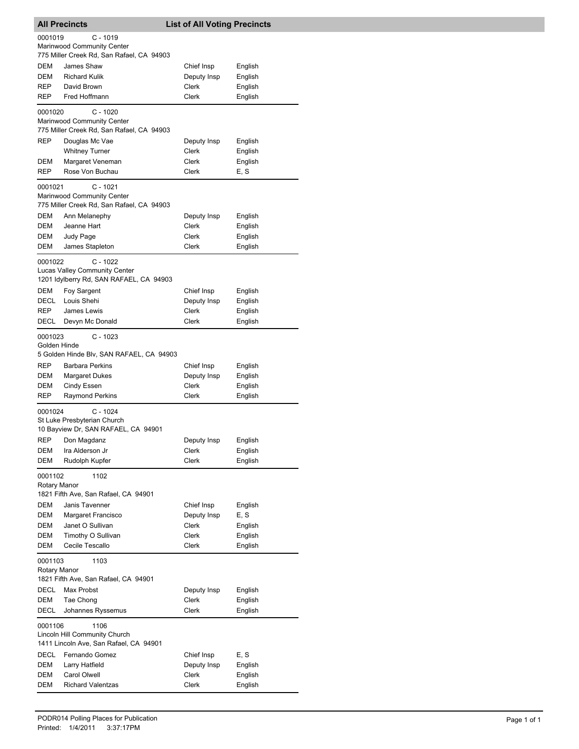| <b>All Precincts</b>    |                                                                                     | <b>List of All Voting Precincts</b> |                    |
|-------------------------|-------------------------------------------------------------------------------------|-------------------------------------|--------------------|
| 0001019                 | $C - 1019$<br>Marinwood Community Center                                            |                                     |                    |
|                         | 775 Miller Creek Rd, San Rafael, CA 94903                                           |                                     |                    |
| DEM                     | James Shaw                                                                          | Chief Insp                          | English            |
| DEM                     | <b>Richard Kulik</b>                                                                | Deputy Insp                         | English            |
| REP                     | David Brown                                                                         | Clerk                               | English            |
| REP                     | Fred Hoffmann                                                                       | Clerk                               | English            |
| 0001020                 | $C - 1020$<br>Marinwood Community Center                                            |                                     |                    |
|                         | 775 Miller Creek Rd, San Rafael, CA 94903                                           |                                     |                    |
| REP                     | Douglas Mc Vae                                                                      | Deputy Insp                         | English            |
|                         | <b>Whitney Turner</b>                                                               | <b>Clerk</b>                        | English            |
| DEM<br><b>REP</b>       | Margaret Veneman<br>Rose Von Buchau                                                 | Clerk<br>Clerk                      | English<br>E, S    |
|                         |                                                                                     |                                     |                    |
| 0001021                 | C - 1021<br>Marinwood Community Center<br>775 Miller Creek Rd, San Rafael, CA 94903 |                                     |                    |
| DEM                     | Ann Melanephy                                                                       | Deputy Insp                         | English            |
| DEM                     | Jeanne Hart                                                                         | Clerk                               | English            |
| DEM                     | Judy Page                                                                           | Clerk                               | English            |
| DEM                     | James Stapleton                                                                     | Clerk                               | English            |
| 0001022                 | $C - 1022$<br>Lucas Valley Community Center                                         |                                     |                    |
|                         | 1201 Idylberry Rd, SAN RAFAEL, CA 94903                                             |                                     |                    |
| DEM                     | Foy Sargent                                                                         | Chief Insp                          | English            |
| DECL                    | Louis Shehi                                                                         | Deputy Insp                         | English            |
| REP                     | James Lewis                                                                         | Clerk                               | English            |
| DECL                    | Devyn Mc Donald                                                                     | Clerk                               | English            |
| 0001023<br>Golden Hinde | $C - 1023$<br>5 Golden Hinde Blv, SAN RAFAEL, CA 94903                              |                                     |                    |
| REP                     | <b>Barbara Perkins</b>                                                              | Chief Insp                          | English            |
| DEM                     | <b>Margaret Dukes</b>                                                               | Deputy Insp                         | English            |
| DEM                     | Cindy Essen                                                                         | <b>Clerk</b>                        | English            |
| REP                     | <b>Raymond Perkins</b>                                                              | Clerk                               | English            |
| 0001024                 | $C - 1024$<br>St Luke Presbyterian Church<br>10 Bayview Dr, SAN RAFAEL, CA 94901    |                                     |                    |
| REP                     | Don Magdanz                                                                         | Deputy Insp                         | English            |
| DEM                     | Ira Alderson Jr                                                                     | Clerk                               | English            |
| DEM                     | Rudolph Kupfer                                                                      | Clerk                               | English            |
| 0001102<br>Rotary Manor | 1102                                                                                |                                     |                    |
|                         | 1821 Fifth Ave, San Rafael, CA 94901                                                |                                     |                    |
| DEM                     | Janis Tavenner                                                                      | Chief Insp                          | English            |
| DEM                     | Margaret Francisco                                                                  | Deputy Insp                         | E, S               |
| <b>DEM</b>              | Janet O Sullivan                                                                    | Clerk                               | English            |
| DEM<br>DEM              | Timothy O Sullivan<br>Cecile Tescallo                                               | Clerk<br>Clerk                      | English<br>English |
| 0001103<br>Rotary Manor | 1103                                                                                |                                     |                    |
|                         | 1821 Fifth Ave, San Rafael, CA 94901                                                |                                     |                    |
| DECL                    | Max Probst                                                                          | Deputy Insp                         | English            |
| DEM                     | Tae Chong                                                                           | Clerk                               | English            |
| DECL                    | Johannes Ryssemus                                                                   | Clerk                               | English            |
| 0001106                 | 1106<br>Lincoln Hill Community Church                                               |                                     |                    |
|                         | 1411 Lincoln Ave, San Rafael, CA 94901                                              |                                     |                    |
| DECL                    | Fernando Gomez                                                                      | Chief Insp                          | E, S               |
| DEM                     | Larry Hatfield                                                                      | Deputy Insp                         | English            |
| DEM                     | Carol Olwell                                                                        | Clerk                               | English            |
| DEM                     | <b>Richard Valentzas</b>                                                            | Clerk                               | English            |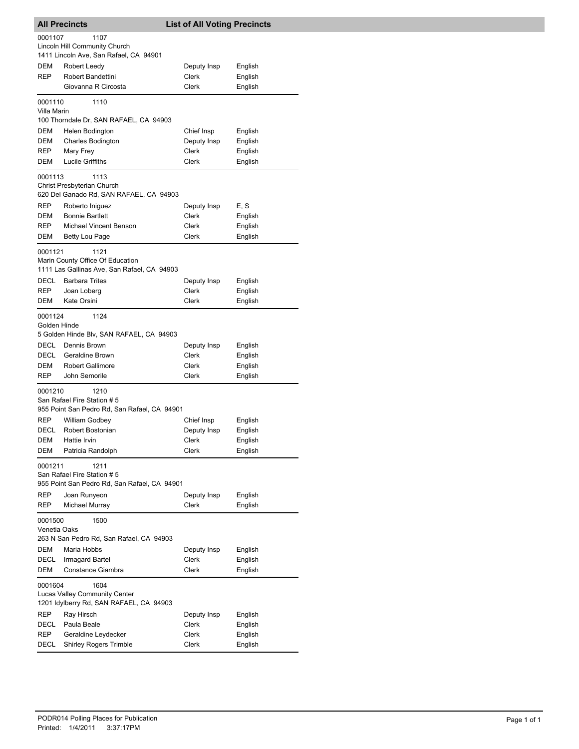| <b>All Precincts</b>                     |                                                                                                  | <b>List of All Voting Precincts</b>         |                                          |
|------------------------------------------|--------------------------------------------------------------------------------------------------|---------------------------------------------|------------------------------------------|
| 0001107                                  | 1107<br>Lincoln Hill Community Church<br>1411 Lincoln Ave, San Rafael, CA 94901                  |                                             |                                          |
| DEM<br><b>REP</b>                        | Robert Leedy<br>Robert Bandettini<br>Giovanna R Circosta                                         | Deputy Insp<br>Clerk<br>Clerk               | English<br>English<br>English            |
| 0001110<br>Villa Marin                   | 1110<br>100 Thorndale Dr, SAN RAFAEL, CA 94903                                                   |                                             |                                          |
| DEM<br>DEM<br>REP<br>DEM                 | Helen Bodington<br><b>Charles Bodington</b><br>Mary Frey<br><b>Lucile Griffiths</b>              | Chief Insp<br>Deputy Insp<br>Clerk<br>Clerk | English<br>English<br>English<br>English |
| 0001113<br>REP                           | 1113<br>Christ Presbyterian Church<br>620 Del Ganado Rd, SAN RAFAEL, CA 94903<br>Roberto Iniguez | Deputy Insp                                 | E, S                                     |
| DEM<br><b>REP</b><br>DEM                 | <b>Bonnie Bartlett</b><br>Michael Vincent Benson<br><b>Betty Lou Page</b>                        | <b>Clerk</b><br>Clerk<br>Clerk              | English<br>English<br>English            |
| 0001121                                  | 1121<br>Marin County Office Of Education<br>1111 Las Gallinas Ave, San Rafael, CA 94903          |                                             |                                          |
| <b>DECL</b><br>REP<br>DEM                | <b>Barbara Trites</b><br>Joan Loberg<br>Kate Orsini                                              | Deputy Insp<br>Clerk<br>Clerk               | English<br>English<br>English            |
| 0001124<br>Golden Hinde                  | 1124<br>5 Golden Hinde Blv, SAN RAFAEL, CA 94903                                                 |                                             |                                          |
| <b>DECL</b><br>DECL<br>DEM<br><b>REP</b> | Dennis Brown<br>Geraldine Brown<br><b>Robert Gallimore</b><br>John Semorile                      | Deputy Insp<br>Clerk<br>Clerk<br>Clerk      | English<br>English<br>English<br>English |
| 0001210                                  | 1210<br>San Rafael Fire Station # 5<br>955 Point San Pedro Rd, San Rafael, CA 94901              |                                             |                                          |
| REP<br>DECL<br>DEM<br>DEM                | William Godbey<br>Robert Bostonian<br>Hattie Irvin<br>Patricia Randolph                          | Chief Insp<br>Deputy Insp<br>Clerk<br>Clerk | English<br>English<br>English<br>English |
| 0001211                                  | 1211<br>San Rafael Fire Station #5<br>955 Point San Pedro Rd, San Rafael, CA 94901               |                                             |                                          |
| <b>REP</b><br><b>REP</b>                 | Joan Runyeon<br>Michael Murray                                                                   | Deputy Insp<br>Clerk                        | English<br>English                       |
| 0001500<br>Venetia Oaks                  | 1500<br>263 N San Pedro Rd, San Rafael, CA 94903                                                 |                                             |                                          |
| DEM<br>DECL<br>DEM                       | Maria Hobbs<br>Irmagard Bartel<br>Constance Giambra                                              | Deputy Insp<br>Clerk<br>Clerk               | English<br>English<br>English            |
| 0001604                                  | 1604<br>Lucas Valley Community Center                                                            |                                             |                                          |
|                                          | 1201 Idylberry Rd, SAN RAFAEL, CA 94903                                                          |                                             |                                          |
| REP<br>DECL<br>REP                       | Ray Hirsch<br>Paula Beale<br>Geraldine Leydecker                                                 | Deputy Insp<br>Clerk<br>Clerk               | English<br>English<br>English            |
| DECL                                     | <b>Shirley Rogers Trimble</b>                                                                    | Clerk                                       | English                                  |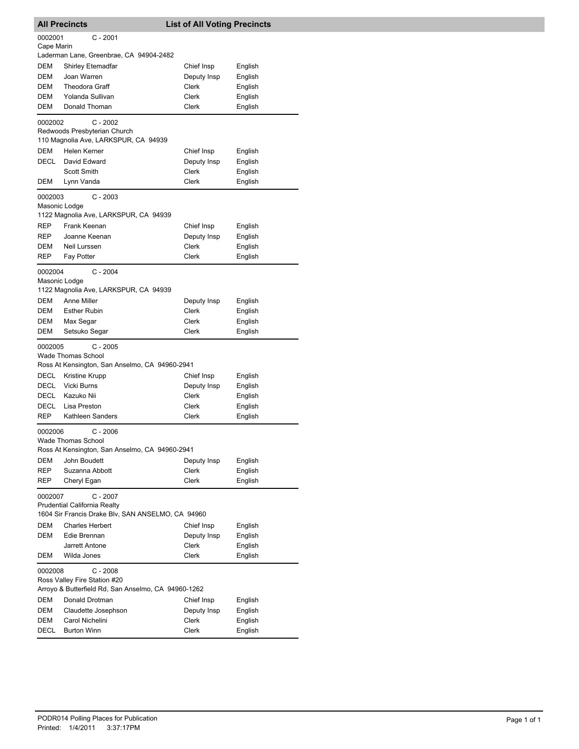|                       | <b>All Precincts</b>                                                 | <b>List of All Voting Precincts</b> |                    |  |
|-----------------------|----------------------------------------------------------------------|-------------------------------------|--------------------|--|
| 0002001               | $C - 2001$                                                           |                                     |                    |  |
| Cape Marin            |                                                                      |                                     |                    |  |
|                       | Laderman Lane, Greenbrae, CA 94904-2482                              |                                     |                    |  |
| <b>DEM</b>            | Shirley Etemadfar                                                    | Chief Insp                          | English            |  |
| DEM<br>DEM            | Joan Warren<br><b>Theodora Graff</b>                                 | Deputy Insp<br>Clerk                | English            |  |
| <b>DEM</b>            | Yolanda Sullivan                                                     | Clerk                               | English<br>English |  |
| DEM                   | Donald Thoman                                                        | Clerk                               | English            |  |
|                       |                                                                      |                                     |                    |  |
| 0002002               | $C - 2002$                                                           |                                     |                    |  |
|                       | Redwoods Presbyterian Church<br>110 Magnolia Ave, LARKSPUR, CA 94939 |                                     |                    |  |
| <b>DEM</b>            | Helen Kerner                                                         | Chief Insp                          | English            |  |
| <b>DECL</b>           | David Edward                                                         | Deputy Insp                         | English            |  |
|                       | Scott Smith                                                          | Clerk                               | English            |  |
| DEM                   | Lynn Vanda                                                           | Clerk                               | English            |  |
| 0002003               | $C - 2003$                                                           |                                     |                    |  |
| Masonic Lodge         |                                                                      |                                     |                    |  |
|                       | 1122 Magnolia Ave, LARKSPUR, CA 94939                                |                                     |                    |  |
| <b>REP</b>            | Frank Keenan                                                         | Chief Insp                          | English            |  |
| <b>REP</b>            | Joanne Keenan                                                        | Deputy Insp                         | English            |  |
| DEM                   | Neil Lurssen                                                         | Clerk                               | English            |  |
| <b>REP</b>            | Fay Potter                                                           | Clerk                               | English            |  |
| 0002004               | $C - 2004$                                                           |                                     |                    |  |
| Masonic Lodge         |                                                                      |                                     |                    |  |
|                       | 1122 Magnolia Ave, LARKSPUR, CA 94939                                |                                     |                    |  |
| DEM                   | Anne Miller                                                          | Deputy Insp                         | English            |  |
| DEM                   | <b>Esther Rubin</b>                                                  | Clerk                               | English            |  |
| <b>DEM</b>            | Max Segar                                                            | Clerk                               | English            |  |
| DEM                   | Setsuko Segar                                                        | Clerk                               | English            |  |
| $C - 2005$<br>0002005 |                                                                      |                                     |                    |  |
|                       | <b>Wade Thomas School</b>                                            |                                     |                    |  |
|                       | Ross At Kensington, San Anselmo, CA 94960-2941                       |                                     |                    |  |
| DECL                  | Kristine Krupp                                                       | Chief Insp                          | English            |  |
| DECL<br>DECL          | Vicki Burns<br>Kazuko Nii                                            | Deputy Insp<br>Clerk                | English            |  |
| <b>DECL</b>           | Lisa Preston                                                         | Clerk                               | English<br>English |  |
| <b>REP</b>            | Kathleen Sanders                                                     | Clerk                               | English            |  |
|                       |                                                                      |                                     |                    |  |
| 0002006               | $C - 2006$                                                           |                                     |                    |  |
|                       | Wade Thomas School<br>Ross At Kensington, San Anselmo, CA 94960-2941 |                                     |                    |  |
| <b>DEM</b>            | John Boudett                                                         | Deputy Insp                         | English            |  |
| REP                   | Suzanna Abbott                                                       | Clerk                               | English            |  |
| REP                   | Cheryl Egan                                                          | Clerk                               | English            |  |
| 0002007               | $C - 2007$                                                           |                                     |                    |  |
|                       | Prudential California Realty                                         |                                     |                    |  |
|                       | 1604 Sir Francis Drake Blv, SAN ANSELMO, CA 94960                    |                                     |                    |  |
| DEM                   | <b>Charles Herbert</b>                                               | Chief Insp                          | English            |  |
| DEM                   | Edie Brennan                                                         | Deputy Insp                         | English            |  |
|                       | Jarrett Antone                                                       | Clerk                               | English            |  |
| DEM                   | Wilda Jones                                                          | Clerk                               | English            |  |
| 0002008               | $C - 2008$                                                           |                                     |                    |  |
|                       | Ross Valley Fire Station #20                                         |                                     |                    |  |
|                       | Arroyo & Butterfield Rd, San Anselmo, CA 94960-1262                  |                                     |                    |  |
| DEM                   | Donald Drotman                                                       | Chief Insp                          | English            |  |
| DEM                   | Claudette Josephson                                                  | Deputy Insp                         | English            |  |
| DEM                   | Carol Nichelini                                                      | Clerk                               | English            |  |
| <b>DECL</b>           | <b>Burton Winn</b>                                                   | Clerk                               | English            |  |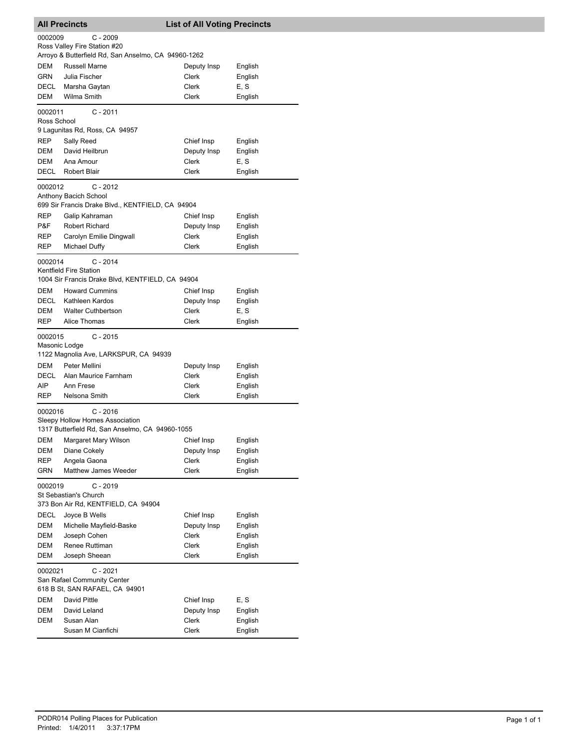| <b>All Precincts</b>   |                                                                                                   | <b>List of All Voting Precincts</b> |         |  |
|------------------------|---------------------------------------------------------------------------------------------------|-------------------------------------|---------|--|
| 0002009                | $C - 2009$<br>Ross Valley Fire Station #20<br>Arroyo & Butterfield Rd, San Anselmo, CA 94960-1262 |                                     |         |  |
| <b>DEM</b>             | Russell Marne                                                                                     | Deputy Insp                         | English |  |
| <b>GRN</b>             | Julia Fischer                                                                                     | Clerk                               | English |  |
| DECL                   | Marsha Gaytan                                                                                     | Clerk                               | E, S    |  |
| DEM                    | Wilma Smith                                                                                       | Clerk                               | English |  |
| 0002011<br>Ross School | $C - 2011$                                                                                        |                                     |         |  |
|                        | 9 Lagunitas Rd, Ross, CA 94957                                                                    |                                     |         |  |
| REP                    | Sally Reed                                                                                        | Chief Insp                          | English |  |
| DEM                    | David Heilbrun                                                                                    | Deputy Insp                         | English |  |
| DEM<br>DECL            | Ana Amour<br><b>Robert Blair</b>                                                                  | Clerk<br><b>Clerk</b>               | E, S    |  |
|                        |                                                                                                   |                                     | English |  |
| 0002012                | $C - 2012$<br>Anthony Bacich School                                                               |                                     |         |  |
|                        | 699 Sir Francis Drake Blvd., KENTFIELD, CA 94904                                                  |                                     |         |  |
| <b>REP</b>             | Galip Kahraman                                                                                    | Chief Insp                          | English |  |
| P&F                    | Robert Richard                                                                                    | Deputy Insp                         | English |  |
| REP                    | Carolyn Emilie Dingwall                                                                           | Clerk                               | English |  |
| <b>REP</b>             | Michael Duffy                                                                                     | Clerk                               | English |  |
| 0002014                | $C - 2014$                                                                                        |                                     |         |  |
|                        | Kentfield Fire Station<br>1004 Sir Francis Drake Blvd, KENTFIELD, CA 94904                        |                                     |         |  |
| <b>DEM</b>             | <b>Howard Cummins</b>                                                                             | Chief Insp                          | English |  |
| DECL                   | Kathleen Kardos                                                                                   | Deputy Insp                         | English |  |
| DEM                    | <b>Walter Cuthbertson</b>                                                                         | <b>Clerk</b>                        | E, S    |  |
| <b>REP</b>             | Alice Thomas                                                                                      | <b>Clerk</b>                        | English |  |
| 0002015                | $C - 2015$<br>Masonic Lodge<br>1122 Magnolia Ave, LARKSPUR, CA 94939                              |                                     |         |  |
| DEM                    | Peter Mellini                                                                                     | Deputy Insp                         | English |  |
| DECL                   | Alan Maurice Farnham                                                                              | Clerk                               | English |  |
| <b>AIP</b>             | Ann Frese                                                                                         | Clerk                               | English |  |
| REP                    | Nelsona Smith                                                                                     | Clerk                               | English |  |
| 0002016                | $C - 2016$<br>Sleepy Hollow Homes Association<br>1317 Butterfield Rd, San Anselmo, CA 94960-1055  |                                     |         |  |
|                        | DEM Margaret Mary Wilson                                                                          | Chief Insp                          | English |  |
| DEM                    | Diane Cokely                                                                                      | Deputy Insp                         | English |  |
| REP                    | Angela Gaona                                                                                      | Clerk                               | English |  |
| GRN                    | Matthew James Weeder                                                                              | Clerk                               | English |  |
| 0002019                | $C - 2019$<br>St Sebastian's Church<br>373 Bon Air Rd, KENTFIELD, CA 94904                        |                                     |         |  |
| DECL                   | Joyce B Wells                                                                                     | Chief Insp                          | English |  |
| DEM                    | Michelle Mayfield-Baske                                                                           | Deputy Insp                         | English |  |
| DEM                    | Joseph Cohen                                                                                      | Clerk                               | English |  |
| DEM                    | Renee Ruttiman                                                                                    | Clerk                               | English |  |
| DEM                    | Joseph Sheean                                                                                     | Clerk                               | English |  |
| 0002021                | $C - 2021$<br>San Rafael Community Center<br>618 B St, SAN RAFAEL, CA 94901                       |                                     |         |  |
| DEM                    | David Pittle                                                                                      | Chief Insp                          | E, S    |  |
| DEM                    | David Leland                                                                                      | Deputy Insp                         | English |  |
| DEM                    | Susan Alan                                                                                        | Clerk                               | English |  |
|                        | Susan M Cianfichi                                                                                 | Clerk                               | English |  |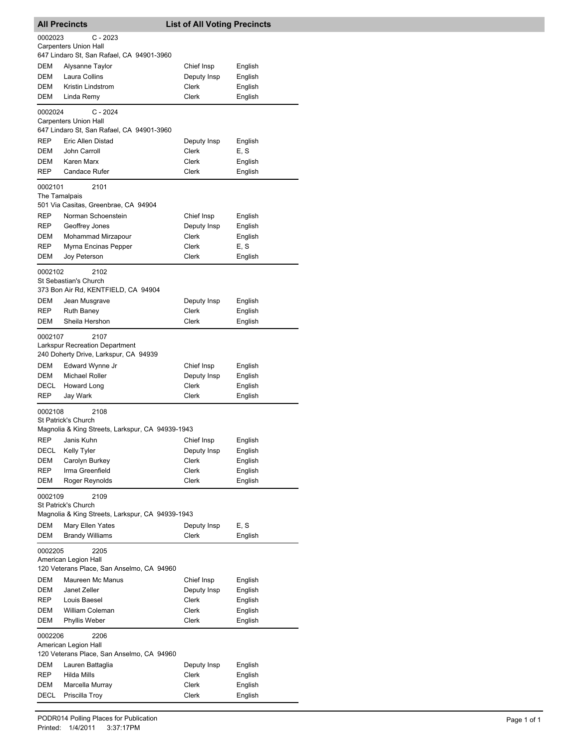| <b>All Precincts</b>     |                                                                                        | <b>List of All Voting Precincts</b> |         |  |  |
|--------------------------|----------------------------------------------------------------------------------------|-------------------------------------|---------|--|--|
| 0002023                  | C - 2023                                                                               |                                     |         |  |  |
|                          | <b>Carpenters Union Hall</b>                                                           |                                     |         |  |  |
|                          | 647 Lindaro St, San Rafael, CA 94901-3960                                              |                                     |         |  |  |
| DEM                      | Alysanne Taylor                                                                        | Chief Insp                          | English |  |  |
| <b>DEM</b>               | Laura Collins                                                                          | Deputy Insp                         | English |  |  |
| <b>DEM</b>               | Kristin Lindstrom                                                                      | Clerk                               | English |  |  |
| DEM                      | Linda Remy                                                                             | Clerk                               | English |  |  |
| 0002024                  | C - 2024                                                                               |                                     |         |  |  |
|                          | <b>Carpenters Union Hall</b>                                                           |                                     |         |  |  |
|                          | 647 Lindaro St, San Rafael, CA 94901-3960                                              |                                     |         |  |  |
| REP                      | Eric Allen Distad                                                                      | Deputy Insp                         | English |  |  |
| DEM                      | John Carroll                                                                           | Clerk                               | E, S    |  |  |
| DEM                      | Karen Marx                                                                             | Clerk                               | English |  |  |
| <b>REP</b>               | <b>Candace Rufer</b>                                                                   | Clerk                               | English |  |  |
| 0002101<br>The Tamalpais | 2101<br>501 Via Casitas, Greenbrae, CA 94904                                           |                                     |         |  |  |
| REP                      | Norman Schoenstein                                                                     | Chief Insp                          | English |  |  |
| REP                      | Geoffrey Jones                                                                         | Deputy Insp                         | English |  |  |
| DEM                      | Mohammad Mirzapour                                                                     | Clerk                               | English |  |  |
| REP                      | Myrna Encinas Pepper                                                                   | Clerk                               | E, S    |  |  |
| DEM                      | Joy Peterson                                                                           | Clerk                               | English |  |  |
|                          |                                                                                        |                                     |         |  |  |
| 0002102                  | 2102<br>St Sebastian's Church<br>373 Bon Air Rd, KENTFIELD, CA 94904                   |                                     |         |  |  |
| DEM                      | Jean Musgrave                                                                          | Deputy Insp                         | English |  |  |
| REP                      | <b>Ruth Baney</b>                                                                      | Clerk                               | English |  |  |
| DEM                      | Sheila Hershon                                                                         | Clerk                               | English |  |  |
| 0002107                  | 2107<br><b>Larkspur Recreation Department</b><br>240 Doherty Drive, Larkspur, CA 94939 |                                     |         |  |  |
| DEM                      | Edward Wynne Jr                                                                        | Chief Insp                          | English |  |  |
| DEM                      | <b>Michael Roller</b>                                                                  | Deputy Insp                         | English |  |  |
| DECL                     | Howard Long                                                                            | Clerk                               | English |  |  |
| <b>REP</b>               | Jay Wark                                                                               | Clerk                               | English |  |  |
| 0002108                  | 2108                                                                                   |                                     |         |  |  |
|                          | St Patrick's Church<br>Magnolia & King Streets, Larkspur, CA 94939-1943                |                                     |         |  |  |
| REP                      | Janis Kuhn                                                                             | Chief Insp                          | English |  |  |
| DECL                     | <b>Kelly Tyler</b>                                                                     | Deputy Insp                         | English |  |  |
| DEM                      | Carolyn Burkey                                                                         | Clerk                               | English |  |  |
| REP                      | Irma Greenfield                                                                        | Clerk                               | English |  |  |
| DEM                      | Roger Reynolds                                                                         | Clerk                               | English |  |  |
| 0002109                  | 2109<br>St Patrick's Church                                                            |                                     |         |  |  |
|                          | Magnolia & King Streets, Larkspur, CA 94939-1943                                       |                                     |         |  |  |
| DEM                      | Mary Ellen Yates                                                                       | Deputy Insp                         | E, S    |  |  |
| DEM                      | <b>Brandy Williams</b>                                                                 | Clerk                               | English |  |  |
|                          | 0002205<br>2205<br>American Legion Hall                                                |                                     |         |  |  |
|                          | 120 Veterans Place, San Anselmo, CA 94960                                              |                                     |         |  |  |
| DEM                      | Maureen Mc Manus                                                                       | Chief Insp                          | English |  |  |
| DEM                      | Janet Zeller                                                                           | Deputy Insp                         | English |  |  |
| REP                      | Louis Baesel                                                                           | Clerk                               | English |  |  |
| DEM                      | William Coleman                                                                        | Clerk                               | English |  |  |
| DEM                      | Phyllis Weber                                                                          | Clerk                               | English |  |  |
| 0002206                  | 2206<br>American Legion Hall<br>120 Veterans Place, San Anselmo, CA 94960              |                                     |         |  |  |
| DEM                      | Lauren Battaglia                                                                       | Deputy Insp                         | English |  |  |
| REP                      | Hilda Mills                                                                            | Clerk                               | English |  |  |
| DEM                      | Marcella Murray                                                                        | Clerk                               | English |  |  |
| DECL                     | Priscilla Troy                                                                         | Clerk                               | English |  |  |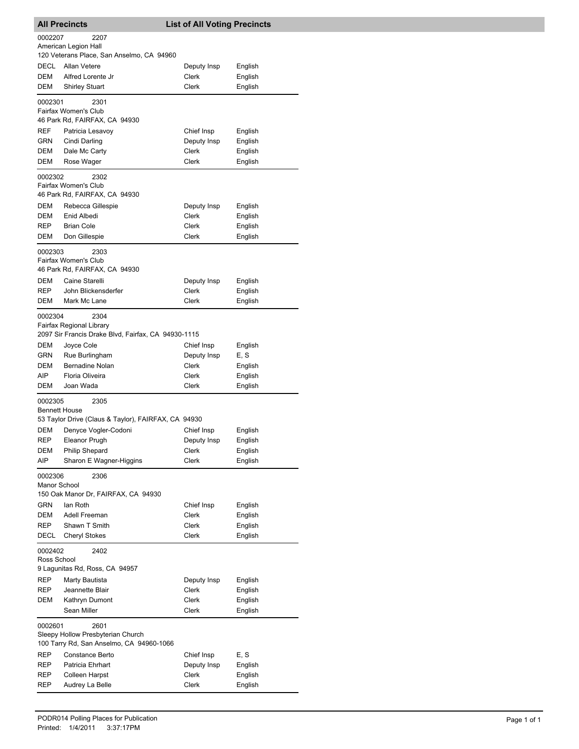| <b>All Precincts</b>            |                                                                                         | <b>List of All Voting Precincts</b>       |                               |  |
|---------------------------------|-----------------------------------------------------------------------------------------|-------------------------------------------|-------------------------------|--|
| 0002207                         | 2207<br>American Legion Hall                                                            |                                           |                               |  |
| DECL<br><b>DEM</b>              | 120 Veterans Place, San Anselmo, CA 94960<br>Allan Vetere<br>Alfred Lorente Jr          | Deputy Insp<br>Clerk                      | English<br>English            |  |
| DEM                             | Shirley Stuart                                                                          | Clerk                                     | English                       |  |
| 0002301                         | 2301<br>Fairfax Women's Club<br>46 Park Rd, FAIRFAX, CA 94930                           |                                           |                               |  |
| REF<br>GRN<br>DEM               | Patricia Lesavoy<br>Cindi Darling<br>Dale Mc Carty                                      | Chief Insp<br>Deputy Insp<br><b>Clerk</b> | English<br>English<br>English |  |
| <b>DEM</b>                      | Rose Wager                                                                              | Clerk                                     | English                       |  |
| 0002302                         | 2302<br>Fairfax Women's Club<br>46 Park Rd, FAIRFAX, CA 94930                           |                                           |                               |  |
| DEM                             | Rebecca Gillespie                                                                       | Deputy Insp                               | English                       |  |
| DEM<br>REP                      | Enid Albedi<br><b>Brian Cole</b>                                                        | Clerk<br>Clerk                            | English<br>English            |  |
| DEM                             | Don Gillespie                                                                           | Clerk                                     | English                       |  |
| 0002303                         | 2303<br>Fairfax Women's Club<br>46 Park Rd, FAIRFAX, CA 94930                           |                                           |                               |  |
| DEM                             | Caine Starelli                                                                          | Deputy Insp                               | English                       |  |
| <b>REP</b><br>DEM               | John Blickensderfer<br>Mark Mc Lane                                                     | Clerk<br>Clerk                            | English<br>English            |  |
| 0002304                         | 2304<br>Fairfax Regional Library<br>2097 Sir Francis Drake Blvd, Fairfax, CA 94930-1115 |                                           |                               |  |
| DEM                             | Joyce Cole                                                                              | Chief Insp                                | English                       |  |
| <b>GRN</b>                      | Rue Burlingham                                                                          | Deputy Insp                               | E, S                          |  |
| DEM<br>AIP                      | Bernadine Nolan<br>Floria Oliveira                                                      | Clerk<br>Clerk                            | English<br>English            |  |
| <b>DEM</b>                      | Joan Wada                                                                               | Clerk                                     | English                       |  |
| 0002305<br><b>Bennett House</b> | 2305                                                                                    |                                           |                               |  |
| DEM                             | 53 Taylor Drive (Claus & Taylor), FAIRFAX, CA 94930<br>Denyce Vogler-Codoni             | Chief Insp                                | English                       |  |
| REP                             | Eleanor Prugh                                                                           | Deputy Insp                               | English                       |  |
| DEM                             | <b>Philip Shepard</b>                                                                   | Clerk                                     | English                       |  |
| AIP                             | Sharon E Wagner-Higgins                                                                 | Clerk                                     | English                       |  |
| 0002306<br>Manor School         | 2306<br>150 Oak Manor Dr, FAIRFAX, CA 94930                                             |                                           |                               |  |
| <b>GRN</b>                      | lan Roth                                                                                | Chief Insp                                | English                       |  |
| DEM<br>REP                      | Adell Freeman<br>Shawn T Smith                                                          | Clerk<br>Clerk                            | English<br>English            |  |
| DECL                            | <b>Cheryl Stokes</b>                                                                    | Clerk                                     | English                       |  |
| 0002402<br>2402<br>Ross School  |                                                                                         |                                           |                               |  |
| REP                             | 9 Lagunitas Rd, Ross, CA 94957<br>Marty Bautista                                        | Deputy Insp                               | English                       |  |
| REP                             | Jeannette Blair                                                                         | Clerk                                     | English                       |  |
| DEM                             | Kathryn Dumont                                                                          | Clerk                                     | English                       |  |
|                                 | Sean Miller                                                                             | Clerk                                     | English                       |  |
| 0002601                         | 2601<br>Sleepy Hollow Presbyterian Church<br>100 Tarry Rd, San Anselmo, CA 94960-1066   |                                           |                               |  |
| REP                             | Constance Berto                                                                         | Chief Insp                                | E, S                          |  |
| REP                             | Patricia Ehrhart                                                                        | Deputy Insp                               | English                       |  |
| <b>REP</b><br>REP               | Colleen Harpst<br>Audrey La Belle                                                       | Clerk<br>Clerk                            | English<br>English            |  |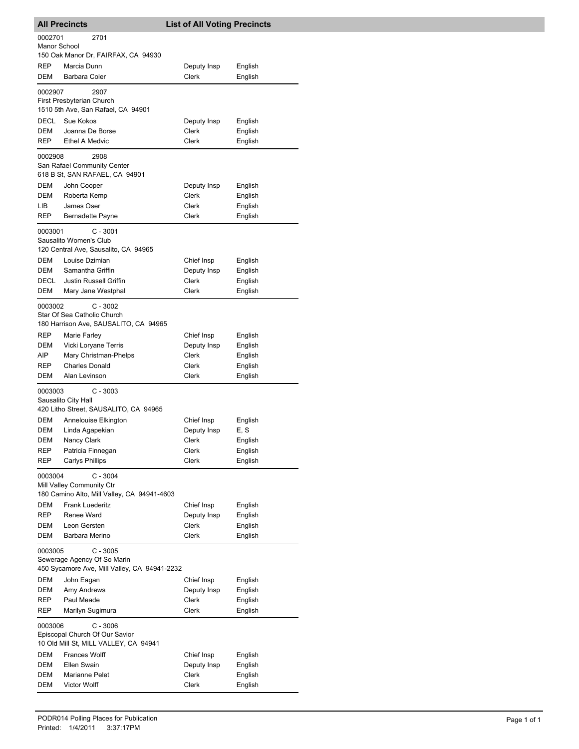| <b>All Precincts</b>    |                                                                                           | <b>List of All Voting Precincts</b> |                    |
|-------------------------|-------------------------------------------------------------------------------------------|-------------------------------------|--------------------|
| 0002701<br>Manor School | 2701                                                                                      |                                     |                    |
|                         | 150 Oak Manor Dr, FAIRFAX, CA 94930                                                       |                                     |                    |
| REP<br>DEM              | Marcia Dunn<br><b>Barbara Coler</b>                                                       | Deputy Insp<br>Clerk                | English<br>English |
| 0002907                 | 2907<br>First Presbyterian Church<br>1510 5th Ave, San Rafael, CA 94901                   |                                     |                    |
| DECL                    | Sue Kokos                                                                                 | Deputy Insp                         | English            |
| DEM                     | Joanna De Borse                                                                           | Clerk                               | English            |
| REP                     | <b>Ethel A Medvic</b>                                                                     | Clerk                               | English            |
| 0002908                 | 2908<br>San Rafael Community Center<br>618 B St, SAN RAFAEL, CA 94901                     |                                     |                    |
| DEM                     | John Cooper                                                                               | Deputy Insp                         | English            |
| DEM                     | Roberta Kemp                                                                              | Clerk                               | English            |
| LIB                     | James Oser                                                                                | Clerk                               | English            |
| REP<br>0003001          | <b>Bernadette Payne</b><br>$C - 3001$                                                     | Clerk                               | English            |
|                         | Sausalito Women's Club                                                                    |                                     |                    |
|                         | 120 Central Ave, Sausalito, CA 94965                                                      |                                     |                    |
| DEM<br>DEM              | Louise Dzimian<br>Samantha Griffin                                                        | Chief Insp                          | English            |
| DECL                    | Justin Russell Griffin                                                                    | Deputy Insp<br>Clerk                | English<br>English |
| DEM                     | Mary Jane Westphal                                                                        | Clerk                               | English            |
| 0003002                 | $C - 3002$<br>Star Of Sea Catholic Church<br>180 Harrison Ave, SAUSALITO, CA 94965        |                                     |                    |
| REP                     | Marie Farley                                                                              | Chief Insp                          | English            |
| DEM                     | Vicki Loryane Terris                                                                      | Deputy Insp                         | English            |
| AIP                     | Mary Christman-Phelps                                                                     | Clerk                               | English            |
| REP<br>DEM              | <b>Charles Donald</b><br>Alan Levinson                                                    | Clerk<br>Clerk                      | English<br>English |
| 0003003                 | $C - 3003$<br>Sausalito City Hall<br>420 Litho Street, SAUSALITO, CA 94965                |                                     |                    |
| DEM                     | Annelouise Elkington                                                                      | Chief Insp                          | English            |
| <b>DEM</b>              | Linda Agapekian                                                                           | Deputy Insp                         | E, S               |
| DEM                     | Nancy Clark                                                                               | Clerk                               | English            |
| REP<br>REP              | Patricia Finnegan<br>Carlys Phillips                                                      | Clerk<br>Clerk                      | English<br>English |
| 0003004                 | $C - 3004$<br>Mill Valley Community Ctr<br>180 Camino Alto, Mill Valley, CA 94941-4603    |                                     |                    |
| DEM                     | Frank Luederitz                                                                           | Chief Insp                          | English            |
| REP                     | Renee Ward                                                                                | Deputy Insp                         | English            |
| DEM                     | Leon Gersten                                                                              | Clerk                               | English            |
| DEM                     | Barbara Merino                                                                            | <b>Clerk</b>                        | English            |
| 0003005                 | $C - 3005$<br>Sewerage Agency Of So Marin<br>450 Sycamore Ave, Mill Valley, CA 94941-2232 |                                     |                    |
| DEM                     | John Eagan                                                                                | Chief Insp                          | English            |
| DEM                     | Amy Andrews                                                                               | Deputy Insp                         | English            |
| REP<br>REP              | Paul Meade<br>Marilyn Sugimura                                                            | Clerk<br>Clerk                      | English<br>English |
| 0003006                 | $C - 3006$                                                                                |                                     |                    |
|                         | Episcopal Church Of Our Savior<br>10 Old Mill St, MILL VALLEY, CA 94941                   |                                     |                    |
| DEM                     | <b>Frances Wolff</b>                                                                      | Chief Insp                          | English            |
| <b>DEM</b>              | Ellen Swain                                                                               | Deputy Insp                         | English            |
| DEM                     | Marianne Pelet                                                                            | Clerk                               | English            |
| DEM                     | <b>Victor Wolff</b>                                                                       | Clerk                               | English            |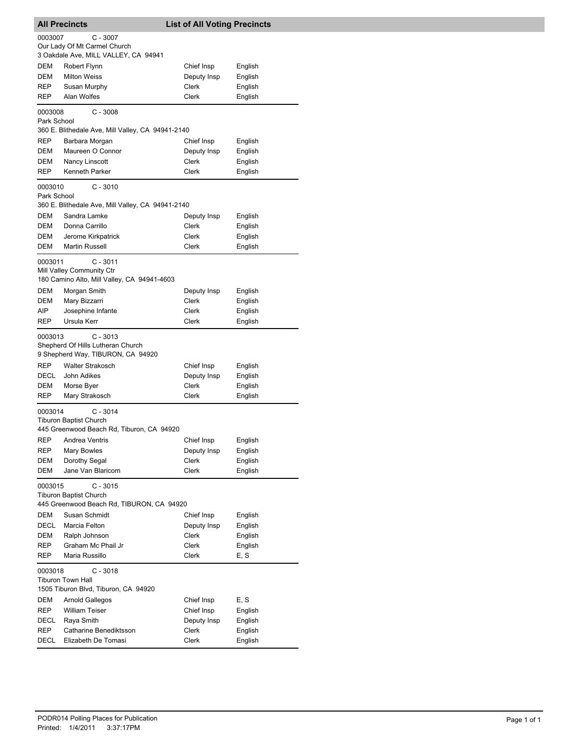|                        | <b>All Precincts</b>                              | <b>List of All Voting Precincts</b> |         |
|------------------------|---------------------------------------------------|-------------------------------------|---------|
| 0003007                | $C - 3007$                                        |                                     |         |
|                        | Our Lady Of Mt Carmel Church                      |                                     |         |
|                        | 3 Oakdale Ave, MILL VALLEY, CA 94941              |                                     |         |
| DEM                    | Robert Flynn                                      | Chief Insp                          | English |
| DEM                    | <b>Milton Weiss</b>                               | Deputy Insp                         | English |
| REP                    | Susan Murphy                                      | Clerk                               | English |
| REP                    | Alan Wolfes                                       | Clerk                               | English |
| 0003008                | $C - 3008$                                        |                                     |         |
| Park School            |                                                   |                                     |         |
|                        | 360 E. Blithedale Ave, Mill Valley, CA 94941-2140 |                                     |         |
| REP                    | Barbara Morgan                                    | Chief Insp                          | English |
| DEM                    | Maureen O Connor                                  | Deputy Insp                         | English |
| DEM                    | Nancy Linscott                                    | Clerk                               | English |
| REP                    | Kenneth Parker                                    | Clerk                               | English |
|                        |                                                   |                                     |         |
| 0003010<br>Park School | C - 3010                                          |                                     |         |
|                        | 360 E. Blithedale Ave, Mill Valley, CA 94941-2140 |                                     |         |
| DEM                    | Sandra Lamke                                      | Deputy Insp                         | English |
| DEM                    | Donna Carrillo                                    | Clerk                               | English |
| DEM                    | Jerome Kirkpatrick                                | Clerk                               | English |
| DEM                    | <b>Martin Russell</b>                             | Clerk                               | English |
|                        |                                                   |                                     |         |
| 0003011                | $C - 3011$                                        |                                     |         |
|                        | Mill Valley Community Ctr                         |                                     |         |
|                        | 180 Camino Alto, Mill Valley, CA 94941-4603       |                                     |         |
| DEM                    | Morgan Smith                                      | Deputy Insp                         | English |
| DEM                    | Mary Bizzarri                                     | Clerk<br>Clerk                      | English |
| AIP<br><b>REP</b>      | Josephine Infante<br>Ursula Kerr                  | Clerk                               | English |
|                        |                                                   |                                     | English |
| 0003013                | $C - 3013$                                        |                                     |         |
|                        | Shepherd Of Hills Lutheran Church                 |                                     |         |
|                        | 9 Shepherd Way, TIBURON, CA 94920                 |                                     |         |
| REP                    | <b>Walter Strakosch</b>                           | Chief Insp                          | English |
| DECL                   | John Adikes                                       | Deputy Insp                         | English |
| DEM                    | Morse Byer                                        | Clerk                               | English |
| REP                    | Mary Strakosch                                    | Clerk                               | English |
| 0003014                | C - 3014                                          |                                     |         |
|                        | Tiburon Baptist Church                            |                                     |         |
|                        | 445 Greenwood Beach Rd, Tiburon, CA 94920         |                                     |         |
| REP                    | Andrea Ventris                                    | Chief Insp                          | English |
| REP                    | <b>Mary Bowles</b>                                | Deputy Insp                         | English |
| DEM                    | Dorothy Segal                                     | Clerk                               | English |
| <b>DEM</b>             | Jane Van Blaricom                                 | Clerk                               | English |
| 0003015                | C - 3015                                          |                                     |         |
|                        | <b>Tiburon Baptist Church</b>                     |                                     |         |
|                        | 445 Greenwood Beach Rd, TIBURON, CA 94920         |                                     |         |
| <b>DEM</b>             | Susan Schmidt                                     | Chief Insp                          | English |
| <b>DECL</b>            | Marcia Felton                                     | Deputy Insp                         | English |
| DEM                    | Ralph Johnson                                     | Clerk                               | English |
| REP                    | Graham Mc Phail Jr                                | Clerk                               | English |
| REP                    | Maria Russillo                                    | Clerk                               | E, S    |
| 0003018                | $C - 3018$                                        |                                     |         |
|                        | <b>Tiburon Town Hall</b>                          |                                     |         |
|                        | 1505 Tiburon Blvd, Tiburon, CA 94920              |                                     |         |
| DEM                    | <b>Arnold Gallegos</b>                            | Chief Insp                          | E, S    |
| REP                    | <b>William Teiser</b>                             | Chief Insp                          | English |
| DECL                   | Raya Smith                                        | Deputy Insp                         | English |
| REP                    | Catharine Benediktsson                            | Clerk                               | English |
| DECL                   | Elizabeth De Tomasi                               | Clerk                               | English |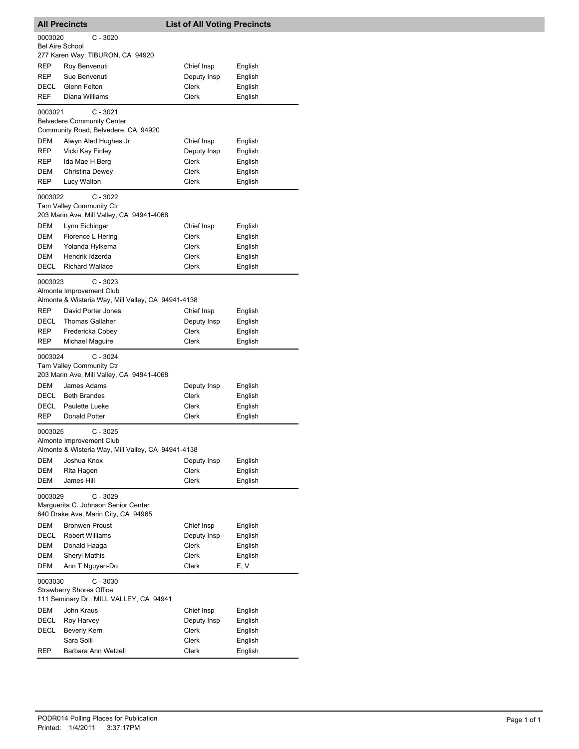| <b>All Precincts</b>              |                                                                                              | <b>List of All Voting Precincts</b> |                    |
|-----------------------------------|----------------------------------------------------------------------------------------------|-------------------------------------|--------------------|
| 0003020<br><b>Bel Aire School</b> | $C - 3020$                                                                                   |                                     |                    |
|                                   | 277 Karen Way, TIBURON, CA 94920                                                             |                                     |                    |
| REP                               | Roy Benvenuti                                                                                | Chief Insp                          | English            |
| <b>REP</b>                        | Sue Benvenuti                                                                                | Deputy Insp                         | English            |
| DECL<br>REF                       | Glenn Felton<br>Diana Williams                                                               | Clerk<br>Clerk                      | English            |
|                                   |                                                                                              |                                     | English            |
| 0003021                           | $C - 3021$<br><b>Belvedere Community Center</b>                                              |                                     |                    |
|                                   | Community Road, Belvedere, CA 94920                                                          |                                     |                    |
| DEM                               | Alwyn Aled Hughes Jr                                                                         | Chief Insp                          | English            |
| REP<br>REP                        | Vicki Kay Finley<br>Ida Mae H Berg                                                           | Deputy Insp<br>Clerk                | English<br>English |
| DEM                               | Christina Dewey                                                                              | Clerk                               | English            |
| <b>REP</b>                        | Lucy Walton                                                                                  | Clerk                               | English            |
| 0003022                           | $C - 3022$                                                                                   |                                     |                    |
|                                   | <b>Tam Valley Community Ctr</b><br>203 Marin Ave, Mill Valley, CA 94941-4068                 |                                     |                    |
| DEM                               | Lynn Eichinger                                                                               | Chief Insp                          | English            |
| DEM                               | Florence L Hering                                                                            | Clerk                               | English            |
| DEM                               | Yolanda Hylkema                                                                              | Clerk                               | English            |
| DEM                               | Hendrik Idzerda                                                                              | Clerk                               | English            |
| DECL                              | <b>Richard Wallace</b>                                                                       | Clerk                               | English            |
| 0003023                           | $C - 3023$<br>Almonte Improvement Club<br>Almonte & Wisteria Way, Mill Valley, CA 94941-4138 |                                     |                    |
| REP                               | David Porter Jones                                                                           | Chief Insp                          | English            |
| DECL                              | <b>Thomas Gallaher</b>                                                                       | Deputy Insp                         | English            |
| REP                               | Fredericka Cobey                                                                             | Clerk                               | English            |
| REP                               | Michael Maguire                                                                              | Clerk                               | English            |
| 0003024                           | $C - 3024$<br>Tam Valley Community Ctr<br>203 Marin Ave, Mill Valley, CA 94941-4068          |                                     |                    |
| DEM                               | James Adams                                                                                  | Deputy Insp                         | English            |
| DECL                              | <b>Beth Brandes</b>                                                                          | Clerk                               | English            |
| DECL                              | Paulette Lueke                                                                               | Clerk                               | English            |
| REP                               | Donald Potter                                                                                | Clerk                               | English            |
| 0003025                           | $C - 3025$<br>Almonte Improvement Club                                                       |                                     |                    |
|                                   | Almonte & Wisteria Way, Mill Valley, CA 94941-4138                                           |                                     |                    |
| DEM                               | Joshua Knox                                                                                  | Deputy Insp                         | English            |
| DEM                               | Rita Hagen                                                                                   | Clerk                               | English            |
| DEM                               | James Hill                                                                                   | Clerk                               | English            |
| 0003029                           | $C - 3029$<br>Marguerita C. Johnson Senior Center<br>640 Drake Ave, Marin City, CA 94965     |                                     |                    |
| DEM                               | <b>Bronwen Proust</b>                                                                        | Chief Insp                          | English            |
| <b>DECL</b>                       | <b>Robert Williams</b>                                                                       | Deputy Insp                         | English            |
| DEM                               | Donald Haaga                                                                                 | Clerk                               | English            |
| DEM                               | <b>Sheryl Mathis</b>                                                                         | Clerk                               | English            |
| DEM                               | Ann T Nguyen-Do                                                                              | Clerk                               | E, V               |
| 0003030                           | $C - 3030$<br><b>Strawberry Shores Office</b><br>111 Seminary Dr., MILL VALLEY, CA 94941     |                                     |                    |
| DEM                               | John Kraus                                                                                   | Chief Insp                          | English            |
| DECL                              | Roy Harvey                                                                                   | Deputy Insp                         | English            |
| DECL                              | <b>Beverly Kern</b>                                                                          | Clerk                               | English            |
|                                   | Sara Solli                                                                                   | Clerk                               | English            |
| REP                               | Barbara Ann Wetzell                                                                          | Clerk                               | English            |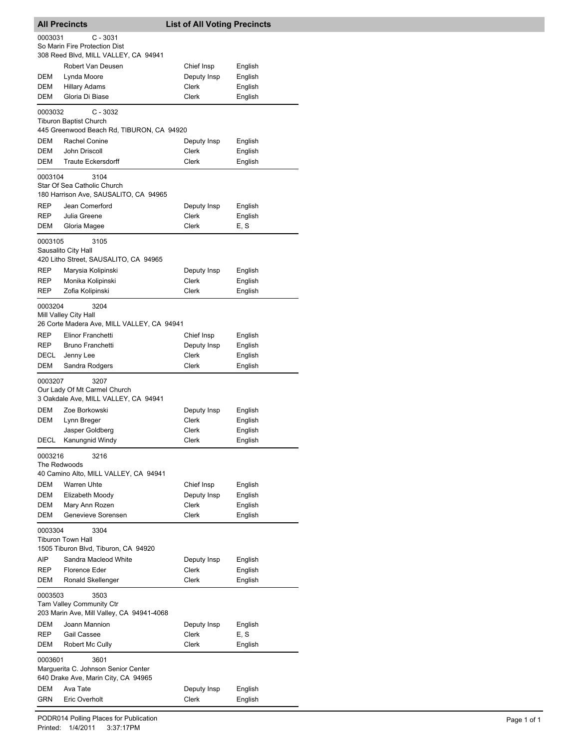|                         | <b>All Precincts</b>                                                               | <b>List of All Voting Precincts</b> |                    |
|-------------------------|------------------------------------------------------------------------------------|-------------------------------------|--------------------|
| 0003031                 | C - 3031<br>So Marin Fire Protection Dist                                          |                                     |                    |
|                         | 308 Reed Blvd, MILL VALLEY, CA 94941<br>Robert Van Deusen                          |                                     |                    |
| <b>DEM</b>              | Lynda Moore                                                                        | Chief Insp<br>Deputy Insp           | English<br>English |
| DEM                     | <b>Hillary Adams</b>                                                               | Clerk                               | English            |
| DEM                     | Gloria Di Biase                                                                    | <b>Clerk</b>                        | English            |
| 0003032                 | $C - 3032$<br>Tiburon Baptist Church<br>445 Greenwood Beach Rd, TIBURON, CA 94920  |                                     |                    |
| DEM                     | Rachel Conine                                                                      | Deputy Insp                         | English            |
| DEM                     | John Driscoll                                                                      | <b>Clerk</b>                        | English            |
| DEM                     | <b>Traute Eckersdorff</b>                                                          | Clerk                               | English            |
| 0003104                 | 3104<br>Star Of Sea Catholic Church<br>180 Harrison Ave, SAUSALITO, CA 94965       |                                     |                    |
| REP                     | Jean Comerford                                                                     | Deputy Insp                         | English            |
| REP                     | Julia Greene                                                                       | Clerk                               | English            |
| DEM                     | Gloria Magee                                                                       | <b>Clerk</b>                        | E, S               |
| 0003105                 | 3105<br>Sausalito City Hall<br>420 Litho Street, SAUSALITO, CA 94965               |                                     |                    |
| REP                     | Marysia Kolipinski                                                                 | Deputy Insp                         | English            |
| REP                     | Monika Kolipinski                                                                  | Clerk                               | English            |
| <b>REP</b>              | Zofia Kolipinski                                                                   | <b>Clerk</b>                        | English            |
| 0003204                 | 3204<br>Mill Valley City Hall<br>26 Corte Madera Ave, MILL VALLEY, CA 94941        |                                     |                    |
| REP                     | Elinor Franchetti                                                                  | Chief Insp                          | English            |
| REP                     | <b>Bruno Franchetti</b>                                                            | Deputy Insp                         | English            |
| DECL                    | Jenny Lee                                                                          | Clerk                               | English            |
| DEM                     | Sandra Rodgers                                                                     | Clerk                               | English            |
| 0003207                 | 3207<br>Our Lady Of Mt Carmel Church<br>3 Oakdale Ave, MILL VALLEY, CA 94941       |                                     |                    |
| DEM                     | Zoe Borkowski                                                                      | Deputy Insp                         | English            |
| DEM                     | Lynn Breger                                                                        | Clerk                               | English            |
|                         | Jasper Goldberg                                                                    | Clerk                               | English            |
| DECL                    | Kanungnid Windy                                                                    | Clerk                               | English            |
| 0003216<br>The Redwoods | 3216<br>40 Camino Alto, MILL VALLEY, CA 94941                                      |                                     |                    |
| DEM                     | Warren Uhte                                                                        | Chief Insp                          | English            |
| DEM                     | Elizabeth Moody                                                                    | Deputy Insp                         | English            |
| DEM                     | Mary Ann Rozen                                                                     | Clerk                               | English            |
| DEM                     | Genevieve Sorensen                                                                 | <b>Clerk</b>                        | English            |
| 0003304                 | 3304<br><b>Tiburon Town Hall</b><br>1505 Tiburon Blvd, Tiburon, CA 94920           |                                     |                    |
| AIP                     | Sandra Macleod White                                                               | Deputy Insp                         | English            |
| REP                     | Florence Eder                                                                      | Clerk                               | English            |
| DEM                     | Ronald Skellenger                                                                  | Clerk                               | English            |
| 0003503                 | 3503<br>Tam Valley Community Ctr<br>203 Marin Ave, Mill Valley, CA 94941-4068      |                                     |                    |
| DEM                     | Joann Mannion                                                                      | Deputy Insp                         | English            |
| REP                     | Gail Cassee                                                                        | Clerk                               | E, S               |
| DEM                     | Robert Mc Cully                                                                    | Clerk                               | English            |
| 0003601                 | 3601<br>Marguerita C. Johnson Senior Center<br>640 Drake Ave, Marin City, CA 94965 |                                     |                    |
| DEM<br>GRN              | Ava Tate<br>Eric Overholt                                                          | Deputy Insp<br>Clerk                | English<br>English |
|                         |                                                                                    |                                     |                    |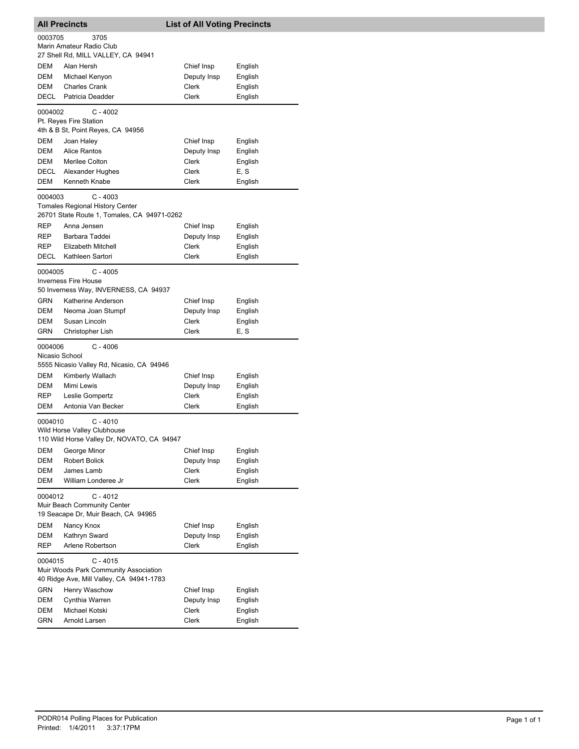| <b>All Precincts</b>                                                                                     |                                                                                                     | <b>List of All Voting Precincts</b> |         |  |  |
|----------------------------------------------------------------------------------------------------------|-----------------------------------------------------------------------------------------------------|-------------------------------------|---------|--|--|
| 0003705                                                                                                  | 3705<br>Marin Amateur Radio Club<br>27 Shell Rd, MILL VALLEY, CA 94941                              |                                     |         |  |  |
| DEM                                                                                                      | Alan Hersh                                                                                          | Chief Insp                          | English |  |  |
| DEM                                                                                                      | Michael Kenyon                                                                                      | Deputy Insp                         | English |  |  |
| DEM                                                                                                      | <b>Charles Crank</b>                                                                                | Clerk                               | English |  |  |
| DECL                                                                                                     | Patricia Deadder                                                                                    | <b>Clerk</b>                        | English |  |  |
| 0004002                                                                                                  | $C - 4002$<br>Pt. Reyes Fire Station                                                                |                                     |         |  |  |
|                                                                                                          | 4th & B St, Point Reyes, CA 94956                                                                   |                                     |         |  |  |
| DEM                                                                                                      | Joan Haley                                                                                          | Chief Insp                          | English |  |  |
| DEM                                                                                                      | <b>Alice Rantos</b>                                                                                 | Deputy Insp                         | English |  |  |
| DEM                                                                                                      | Merilee Colton                                                                                      | Clerk                               | English |  |  |
| DECL                                                                                                     | Alexander Hughes                                                                                    | Clerk                               | E, S    |  |  |
| DEM                                                                                                      | Kenneth Knabe                                                                                       | Clerk                               | English |  |  |
| 0004003                                                                                                  | $C - 4003$<br><b>Tomales Regional History Center</b><br>26701 State Route 1, Tomales, CA 94971-0262 |                                     |         |  |  |
| REP                                                                                                      | Anna Jensen                                                                                         | Chief Insp                          | English |  |  |
| REP                                                                                                      | Barbara Taddei                                                                                      | Deputy Insp                         | English |  |  |
| REP                                                                                                      | <b>Elizabeth Mitchell</b>                                                                           | <b>Clerk</b>                        | English |  |  |
| DECL                                                                                                     | Kathleen Sartori                                                                                    | Clerk                               | English |  |  |
|                                                                                                          | $C - 4005$<br>0004005<br><b>Inverness Fire House</b><br>50 Inverness Way, INVERNESS, CA 94937       |                                     |         |  |  |
| GRN                                                                                                      | Katherine Anderson                                                                                  | Chief Insp                          | English |  |  |
| DEM                                                                                                      | Neoma Joan Stumpf                                                                                   | Deputy Insp                         | English |  |  |
| DEM                                                                                                      | Susan Lincoln                                                                                       | Clerk                               | English |  |  |
| <b>GRN</b>                                                                                               | Christopher Lish                                                                                    | Clerk                               | E, S    |  |  |
| 0004006                                                                                                  | $C - 4006$                                                                                          |                                     |         |  |  |
| Nicasio School                                                                                           | 5555 Nicasio Valley Rd, Nicasio, CA 94946                                                           |                                     |         |  |  |
| DEM                                                                                                      | Kimberly Wallach                                                                                    | Chief Insp                          | English |  |  |
| DEM                                                                                                      | Mimi Lewis                                                                                          | Deputy Insp                         | English |  |  |
| REP                                                                                                      | Leslie Gompertz                                                                                     | Clerk                               | English |  |  |
| DEM                                                                                                      | Antonia Van Becker                                                                                  | Clerk                               | English |  |  |
| $C - 4010$<br>0004010<br>Wild Horse Valley Clubhouse<br>110 Wild Horse Valley Dr. NOVATO, CA 94947       |                                                                                                     |                                     |         |  |  |
| DEM                                                                                                      | George Minor                                                                                        | Chief Insp                          | English |  |  |
| DEM                                                                                                      | <b>Robert Bolick</b>                                                                                | Deputy Insp                         | English |  |  |
| DEM                                                                                                      | James Lamb                                                                                          | Clerk                               | English |  |  |
| DEM                                                                                                      | William Londeree Jr                                                                                 | Clerk                               | English |  |  |
| $C - 4012$<br>0004012<br>Muir Beach Community Center<br>19 Seacape Dr, Muir Beach, CA 94965              |                                                                                                     |                                     |         |  |  |
| DEM                                                                                                      | Nancy Knox                                                                                          | Chief Insp                          | English |  |  |
| DEM                                                                                                      | Kathryn Sward                                                                                       | Deputy Insp                         | English |  |  |
| <b>REP</b>                                                                                               | Arlene Robertson                                                                                    | Clerk                               | English |  |  |
| 0004015<br>C - 4015<br>Muir Woods Park Community Association<br>40 Ridge Ave, Mill Valley, CA 94941-1783 |                                                                                                     |                                     |         |  |  |
| GRN                                                                                                      | Henry Waschow                                                                                       | Chief Insp                          | English |  |  |
| DEM                                                                                                      | Cynthia Warren                                                                                      | Deputy Insp                         | English |  |  |
| DEM                                                                                                      | Michael Kotski                                                                                      | Clerk                               | English |  |  |
| <b>GRN</b>                                                                                               | Arnold Larsen                                                                                       | Clerk                               | English |  |  |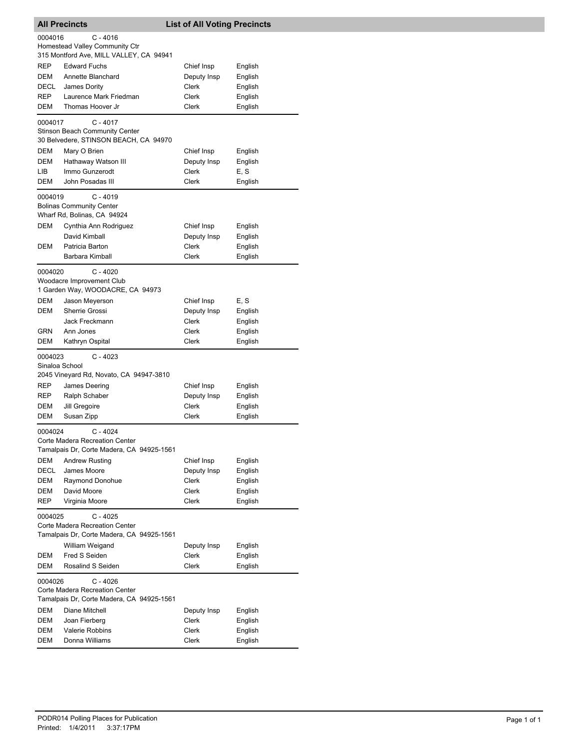| <b>All Precincts</b>                                                                                 |                                                                                              | <b>List of All Voting Precincts</b> |                    |  |
|------------------------------------------------------------------------------------------------------|----------------------------------------------------------------------------------------------|-------------------------------------|--------------------|--|
| 0004016                                                                                              | $C - 4016$                                                                                   |                                     |                    |  |
|                                                                                                      | Homestead Valley Community Ctr                                                               |                                     |                    |  |
|                                                                                                      | 315 Montford Ave, MILL VALLEY, CA 94941                                                      |                                     |                    |  |
| <b>REP</b>                                                                                           | <b>Edward Fuchs</b>                                                                          | Chief Insp                          | English            |  |
| DEM                                                                                                  | Annette Blanchard                                                                            | Deputy Insp                         | English            |  |
| DECL                                                                                                 | James Dority                                                                                 | Clerk                               | English            |  |
| REP                                                                                                  | Laurence Mark Friedman                                                                       | Clerk                               | English            |  |
| DEM                                                                                                  | Thomas Hoover Jr                                                                             | Clerk                               | English            |  |
| 0004017                                                                                              | $C - 4017$<br><b>Stinson Beach Community Center</b><br>30 Belvedere, STINSON BEACH, CA 94970 |                                     |                    |  |
| DEM                                                                                                  | Mary O Brien                                                                                 | Chief Insp                          | English            |  |
| <b>DEM</b>                                                                                           | Hathaway Watson III                                                                          | Deputy Insp                         | English            |  |
| LІВ                                                                                                  | Immo Gunzerodt                                                                               | Clerk                               | E, S               |  |
| DEM                                                                                                  | John Posadas III                                                                             | Clerk                               | English            |  |
| 0004019                                                                                              | $C - 4019$<br><b>Bolinas Community Center</b><br>Wharf Rd, Bolinas, CA 94924                 |                                     |                    |  |
| <b>DEM</b>                                                                                           | Cynthia Ann Rodriguez                                                                        | Chief Insp                          | English            |  |
|                                                                                                      | David Kimball                                                                                | Deputy Insp                         | English            |  |
| DEM                                                                                                  | Patricia Barton                                                                              | <b>Clerk</b>                        | English            |  |
|                                                                                                      | Barbara Kimball                                                                              | Clerk                               | English            |  |
| 0004020                                                                                              | $C - 4020$<br>Woodacre Improvement Club<br>1 Garden Way, WOODACRE, CA 94973                  |                                     |                    |  |
| DEM                                                                                                  | Jason Meyerson                                                                               | Chief Insp                          | E, S               |  |
| DEM                                                                                                  | Sherrie Grossi                                                                               | Deputy Insp                         | English            |  |
|                                                                                                      | Jack Freckmann                                                                               | Clerk                               | English            |  |
| GRN                                                                                                  | Ann Jones                                                                                    | Clerk                               | English            |  |
| DEM                                                                                                  | Kathryn Ospital                                                                              | Clerk                               | English            |  |
| $C - 4023$<br>0004023<br>Sinaloa School<br>2045 Vineyard Rd, Novato, CA 94947-3810                   |                                                                                              |                                     |                    |  |
| REP                                                                                                  | James Deering                                                                                | Chief Insp                          | English            |  |
| REP                                                                                                  | Ralph Schaber                                                                                | Deputy Insp                         | English            |  |
| DEM                                                                                                  | Jill Gregoire                                                                                | Clerk                               | English            |  |
| DEM                                                                                                  | Susan Zipp                                                                                   | Clerk                               | English            |  |
| 0004024                                                                                              | $C - 4024$<br>Corte Madera Recreation Center                                                 |                                     |                    |  |
|                                                                                                      | Tamalpais Dr, Corte Madera, CA 94925-1561                                                    |                                     |                    |  |
| DEM                                                                                                  | <b>Andrew Rusting</b>                                                                        | Chief Insp                          | English            |  |
| DECL                                                                                                 | James Moore                                                                                  | Deputy Insp                         | English            |  |
| DEM                                                                                                  | Raymond Donohue                                                                              | Clerk                               | English            |  |
| DEM                                                                                                  | David Moore                                                                                  | Clerk                               | English            |  |
| REP                                                                                                  | Virginia Moore                                                                               | Clerk                               | English            |  |
| $C - 4025$<br>0004025<br>Corte Madera Recreation Center<br>Tamalpais Dr, Corte Madera, CA 94925-1561 |                                                                                              |                                     |                    |  |
|                                                                                                      | William Weigand                                                                              | Deputy Insp                         | English            |  |
| DEM<br>DEM                                                                                           | Fred S Seiden<br>Rosalind S Seiden                                                           | Clerk<br>Clerk                      | English<br>English |  |
|                                                                                                      |                                                                                              |                                     |                    |  |
| 0004026<br>$C - 4026$<br>Corte Madera Recreation Center<br>Tamalpais Dr, Corte Madera, CA 94925-1561 |                                                                                              |                                     |                    |  |
| DEM                                                                                                  | Diane Mitchell                                                                               | Deputy Insp                         | English            |  |
| DEM                                                                                                  | Joan Fierberg                                                                                | Clerk                               | English            |  |
| DEM                                                                                                  | <b>Valerie Robbins</b>                                                                       | Clerk                               | English            |  |
| DEM                                                                                                  | Donna Williams                                                                               | Clerk                               | English            |  |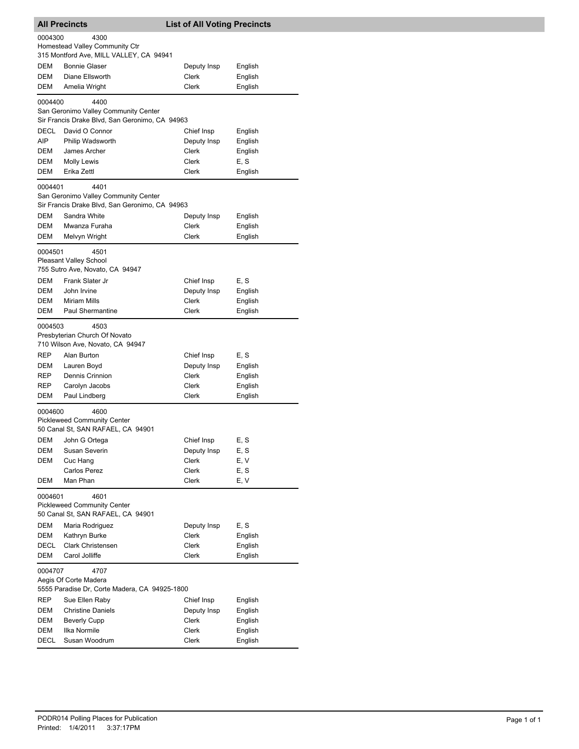| <b>All Precincts</b><br><b>List of All Voting Precincts</b>                                |                                                                                                |                           |                    |  |
|--------------------------------------------------------------------------------------------|------------------------------------------------------------------------------------------------|---------------------------|--------------------|--|
| 0004300                                                                                    | 4300<br>Homestead Valley Community Ctr<br>315 Montford Ave, MILL VALLEY, CA 94941              |                           |                    |  |
| <b>DEM</b>                                                                                 | <b>Bonnie Glaser</b>                                                                           | Deputy Insp               | English            |  |
| DEM                                                                                        | Diane Ellsworth                                                                                | Clerk                     | English            |  |
| DEM                                                                                        | Amelia Wright                                                                                  | Clerk                     | English            |  |
| 0004400                                                                                    | 4400<br>San Geronimo Valley Community Center<br>Sir Francis Drake Blvd, San Geronimo, CA 94963 |                           |                    |  |
| <b>DECL</b>                                                                                | David O Connor                                                                                 | Chief Insp                | English            |  |
| AIP                                                                                        | Philip Wadsworth                                                                               | Deputy Insp               | English            |  |
| DEM                                                                                        | James Archer                                                                                   | Clerk                     | English            |  |
| DEM                                                                                        | <b>Molly Lewis</b>                                                                             | Clerk                     | E, S               |  |
| DEM                                                                                        | Erika Zettl                                                                                    | Clerk                     | English            |  |
| 0004401                                                                                    | 4401<br>San Geronimo Valley Community Center<br>Sir Francis Drake Blvd, San Geronimo, CA 94963 |                           |                    |  |
| DEM                                                                                        | Sandra White                                                                                   | Deputy Insp               | English            |  |
| DEM                                                                                        | Mwanza Furaha                                                                                  | Clerk                     | English            |  |
| DEM                                                                                        | Melvyn Wright                                                                                  | Clerk                     | English            |  |
| 0004501<br><b>DEM</b>                                                                      | 4501<br>Pleasant Valley School<br>755 Sutro Ave, Novato, CA 94947<br>Frank Slater Jr           | Chief Insp                | E, S               |  |
| DEM                                                                                        | John Irvine                                                                                    | Deputy Insp               | English            |  |
| DEM                                                                                        | <b>Miriam Mills</b>                                                                            | Clerk                     | English            |  |
| DEM                                                                                        | Paul Shermantine                                                                               | Clerk                     | English            |  |
| 0004503                                                                                    | 4503<br>Presbyterian Church Of Novato<br>710 Wilson Ave, Novato, CA 94947                      |                           |                    |  |
| <b>REP</b>                                                                                 | Alan Burton                                                                                    | Chief Insp                | E, S               |  |
| DEM                                                                                        | Lauren Boyd                                                                                    | Deputy Insp               | English            |  |
| REP                                                                                        | Dennis Crinnion                                                                                | Clerk                     | English            |  |
| <b>REP</b>                                                                                 | Carolyn Jacobs                                                                                 | Clerk                     | English            |  |
| DEM                                                                                        | Paul Lindberg                                                                                  | Clerk                     | English            |  |
| 4600<br>0004600<br><b>Pickleweed Community Center</b><br>50 Canal St, SAN RAFAEL, CA 94901 |                                                                                                |                           |                    |  |
|                                                                                            | DEM John G Ortega                                                                              | Chief Insp                | E, S               |  |
| DEM                                                                                        | Susan Severin                                                                                  | Deputy Insp               | E, S               |  |
| DEM                                                                                        | Cuc Hang                                                                                       | Clerk                     | E, V               |  |
| DEM                                                                                        | Carlos Perez<br>Man Phan                                                                       | Clerk<br>Clerk            | E, S<br>E, V       |  |
| 4601<br>0004601<br><b>Pickleweed Community Center</b><br>50 Canal St, SAN RAFAEL, CA 94901 |                                                                                                |                           |                    |  |
| DEM                                                                                        | Maria Rodriguez                                                                                | Deputy Insp               | E, S               |  |
| DEM                                                                                        | Kathryn Burke                                                                                  | Clerk                     | English            |  |
| DECL<br><b>DEM</b>                                                                         | Clark Christensen<br>Carol Jolliffe                                                            | Clerk<br>Clerk            | English            |  |
| English<br>0004707<br>4707<br>Aegis Of Corte Madera                                        |                                                                                                |                           |                    |  |
| REP                                                                                        | 5555 Paradise Dr, Corte Madera, CA 94925-1800                                                  |                           |                    |  |
| DEM                                                                                        | Sue Ellen Raby<br><b>Christine Daniels</b>                                                     | Chief Insp<br>Deputy Insp | English<br>English |  |
| DEM                                                                                        | <b>Beverly Cupp</b>                                                                            | Clerk                     | English            |  |
| DEM                                                                                        | Ilka Normile                                                                                   | Clerk                     | English            |  |
| DECL                                                                                       | Susan Woodrum                                                                                  | Clerk                     | English            |  |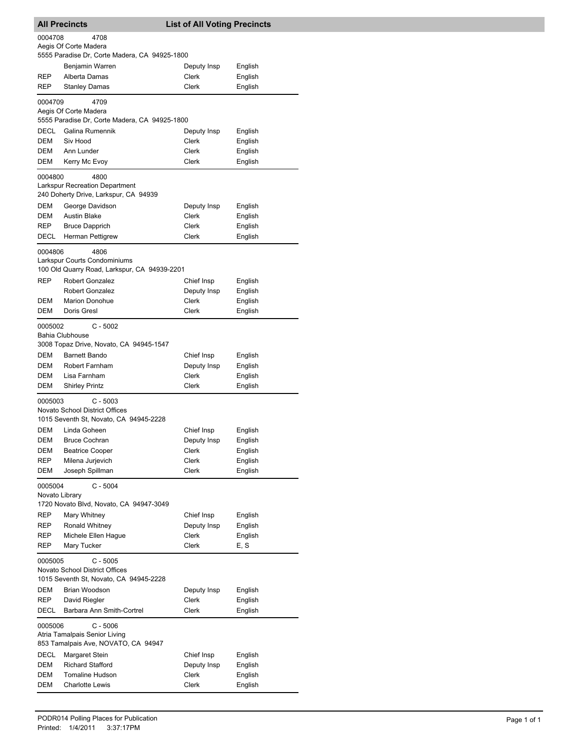| 0004708<br>4708<br>Aegis Of Corte Madera                                                                  |  |  |  |  |  |
|-----------------------------------------------------------------------------------------------------------|--|--|--|--|--|
|                                                                                                           |  |  |  |  |  |
| 5555 Paradise Dr, Corte Madera, CA 94925-1800                                                             |  |  |  |  |  |
| Benjamin Warren<br>Deputy Insp<br>English                                                                 |  |  |  |  |  |
| REP<br>Alberta Damas<br>Clerk<br>English                                                                  |  |  |  |  |  |
| <b>REP</b><br>Clerk<br>English<br><b>Stanley Damas</b>                                                    |  |  |  |  |  |
| 0004709<br>4709                                                                                           |  |  |  |  |  |
| Aegis Of Corte Madera                                                                                     |  |  |  |  |  |
| 5555 Paradise Dr, Corte Madera, CA 94925-1800<br><b>DECL</b><br>Galina Rumennik                           |  |  |  |  |  |
| Deputy Insp<br>English<br>DEM<br>Siv Hood<br>Clerk<br>English                                             |  |  |  |  |  |
| DEM<br>Ann Lunder<br>Clerk<br>English                                                                     |  |  |  |  |  |
| DEM<br>Kerry Mc Evoy<br>Clerk<br>English                                                                  |  |  |  |  |  |
| 0004800<br>4800                                                                                           |  |  |  |  |  |
| Larkspur Recreation Department                                                                            |  |  |  |  |  |
| 240 Doherty Drive, Larkspur, CA 94939                                                                     |  |  |  |  |  |
| DEM<br>George Davidson<br>Deputy Insp<br>English                                                          |  |  |  |  |  |
| DEM<br><b>Austin Blake</b><br>Clerk<br>English<br><b>REP</b><br>Clerk<br>English<br><b>Bruce Dapprich</b> |  |  |  |  |  |
| Herman Pettigrew<br>Clerk<br>English<br>DECL                                                              |  |  |  |  |  |
|                                                                                                           |  |  |  |  |  |
| 4806<br>0004806<br>Larkspur Courts Condominiums                                                           |  |  |  |  |  |
| 100 Old Quarry Road, Larkspur, CA 94939-2201                                                              |  |  |  |  |  |
| <b>REP</b><br><b>Robert Gonzalez</b><br>Chief Insp<br>English                                             |  |  |  |  |  |
| <b>Robert Gonzalez</b><br>Deputy Insp<br>English                                                          |  |  |  |  |  |
| DEM<br><b>Marion Donohue</b><br>Clerk<br>English                                                          |  |  |  |  |  |
| DEM<br>Doris Gresl<br>Clerk<br>English                                                                    |  |  |  |  |  |
| $C - 5002$<br>0005002                                                                                     |  |  |  |  |  |
| <b>Bahia Clubhouse</b><br>3008 Topaz Drive, Novato, CA 94945-1547                                         |  |  |  |  |  |
| DEM<br><b>Barnett Bando</b><br>Chief Insp<br>English                                                      |  |  |  |  |  |
| DEM<br>Robert Farnham<br>Deputy Insp<br>English                                                           |  |  |  |  |  |
| DEM<br>Lisa Farnham<br>Clerk<br>English                                                                   |  |  |  |  |  |
| DEM<br><b>Shirley Printz</b><br>Clerk<br>English                                                          |  |  |  |  |  |
| $C - 5003$<br>0005003                                                                                     |  |  |  |  |  |
| <b>Novato School District Offices</b>                                                                     |  |  |  |  |  |
| 1015 Seventh St, Novato, CA 94945-2228                                                                    |  |  |  |  |  |
| DEM<br>Linda Goheen<br>Chief Insp<br>English<br><b>Bruce Cochran</b><br>English<br>DEM<br>Deputy Insp     |  |  |  |  |  |
| <b>Beatrice Cooper</b><br>Clerk<br>English<br>DEM                                                         |  |  |  |  |  |
| Clerk<br>English<br><b>REP</b><br>Milena Jurjevich                                                        |  |  |  |  |  |
| Joseph Spillman<br>DEM<br><b>Clerk</b><br>English                                                         |  |  |  |  |  |
| $C - 5004$<br>0005004                                                                                     |  |  |  |  |  |
| Novato Library                                                                                            |  |  |  |  |  |
| 1720 Novato Blvd, Novato, CA 94947-3049                                                                   |  |  |  |  |  |
| Chief Insp<br>REP<br>Mary Whitney<br>English<br>Ronald Whitney<br>Deputy Insp                             |  |  |  |  |  |
| REP<br>English<br>Clerk<br>REP<br>Michele Ellen Hague<br>English                                          |  |  |  |  |  |
| Clerk<br>E, S<br>REP<br>Mary Tucker                                                                       |  |  |  |  |  |
| $C - 5005$<br>0005005                                                                                     |  |  |  |  |  |
| Novato School District Offices                                                                            |  |  |  |  |  |
| 1015 Seventh St, Novato, CA 94945-2228                                                                    |  |  |  |  |  |
| DEM<br>Brian Woodson<br>Deputy Insp<br>English                                                            |  |  |  |  |  |
| REP<br>David Riegler<br>Clerk<br>English                                                                  |  |  |  |  |  |
| DECL<br>Barbara Ann Smith-Cortrel<br>Clerk<br>English                                                     |  |  |  |  |  |
| $C - 5006$<br>0005006                                                                                     |  |  |  |  |  |
| Atria Tamalpais Senior Living<br>853 Tamalpais Ave, NOVATO, CA 94947                                      |  |  |  |  |  |
| DECL<br>Margaret Stein<br>Chief Insp<br>English                                                           |  |  |  |  |  |
| DEM<br><b>Richard Stafford</b><br>Deputy Insp<br>English                                                  |  |  |  |  |  |
| DEM<br>Tomaline Hudson<br>Clerk<br>English                                                                |  |  |  |  |  |
| DEM<br><b>Charlotte Lewis</b><br>Clerk<br>English                                                         |  |  |  |  |  |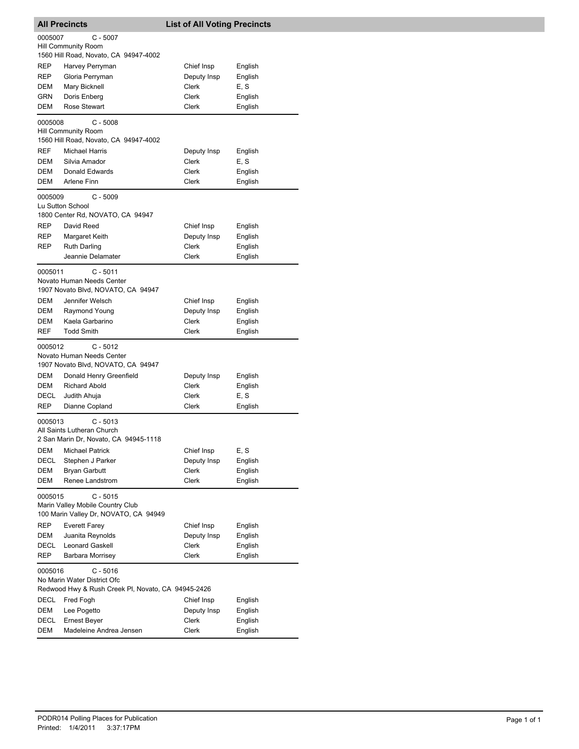| <b>All Precincts</b>                                                                               |                                                                                   | <b>List of All Voting Precincts</b> |                            |
|----------------------------------------------------------------------------------------------------|-----------------------------------------------------------------------------------|-------------------------------------|----------------------------|
| 0005007                                                                                            | C - 5007<br>Hill Community Room<br>1560 Hill Road, Novato, CA 94947-4002          |                                     |                            |
| REP<br>REP<br>DEM                                                                                  | Harvey Perryman<br>Gloria Perryman<br>Mary Bicknell                               | Chief Insp<br>Deputy Insp<br>Clerk  | English<br>English<br>E, S |
| GRN<br>DEM                                                                                         | Doris Enberg<br>Rose Stewart                                                      | Clerk<br>Clerk                      | English<br>English         |
| 0005008                                                                                            | $C - 5008$<br><b>Hill Community Room</b><br>1560 Hill Road, Novato, CA 94947-4002 |                                     |                            |
| <b>REF</b>                                                                                         | <b>Michael Harris</b>                                                             | Deputy Insp                         | English                    |
| DEM                                                                                                | Silvia Amador                                                                     | Clerk                               | E, S                       |
| DEM<br>DEM                                                                                         | Donald Edwards<br>Arlene Finn                                                     | Clerk<br>Clerk                      | English<br>English         |
| 0005009                                                                                            | $C - 5009$<br>Lu Sutton School<br>1800 Center Rd, NOVATO, CA 94947                |                                     |                            |
| REP                                                                                                | David Reed                                                                        | Chief Insp                          | English                    |
| REP                                                                                                | Margaret Keith                                                                    | Deputy Insp                         | English                    |
| REP                                                                                                | <b>Ruth Darling</b>                                                               | Clerk                               | English                    |
|                                                                                                    | Jeannie Delamater                                                                 | Clerk                               | English                    |
| 0005011                                                                                            | $C - 5011$<br>Novato Human Needs Center<br>1907 Novato Blvd, NOVATO, CA 94947     |                                     |                            |
| DEM                                                                                                | Jennifer Welsch                                                                   | Chief Insp                          | English                    |
| DEM                                                                                                | Raymond Young                                                                     | Deputy Insp                         | English                    |
| DEM<br>REF                                                                                         | Kaela Garbarino<br><b>Todd Smith</b>                                              | <b>Clerk</b><br><b>Clerk</b>        | English<br>English         |
| 0005012                                                                                            | $C - 5012$<br>Novato Human Needs Center<br>1907 Novato Blvd, NOVATO, CA 94947     |                                     |                            |
| DEM                                                                                                | Donald Henry Greenfield                                                           | Deputy Insp                         | English                    |
| DEM                                                                                                | <b>Richard Abold</b>                                                              | Clerk                               | English                    |
| DECL                                                                                               | Judith Ahuja                                                                      | Clerk                               | E, S                       |
| REP                                                                                                | Dianne Copland                                                                    | Clerk                               | English                    |
| $C - 5013$<br>0005013<br>All Saints Lutheran Church<br>2 San Marin Dr, Novato, CA 94945-1118       |                                                                                   |                                     |                            |
| DEM                                                                                                | Michael Patrick                                                                   | Chief Insp                          | E, S                       |
| DECL                                                                                               | Stephen J Parker                                                                  | Deputy Insp                         | English                    |
| DEM                                                                                                | <b>Bryan Garbutt</b>                                                              | Clerk                               | English                    |
| <b>DEM</b>                                                                                         | Renee Landstrom                                                                   | <b>Clerk</b>                        | English                    |
| 0005015<br>$C - 5015$<br>Marin Valley Mobile Country Club<br>100 Marin Valley Dr, NOVATO, CA 94949 |                                                                                   |                                     |                            |
| REP                                                                                                | <b>Everett Farey</b>                                                              | Chief Insp                          | English                    |
| DEM                                                                                                | Juanita Reynolds                                                                  | Deputy Insp                         | English                    |
| DECL                                                                                               | Leonard Gaskell                                                                   | Clerk                               | English                    |
| REP                                                                                                | <b>Barbara Morrisey</b>                                                           | Clerk                               | English                    |
| $C - 5016$<br>0005016<br>No Marin Water District Ofc                                               |                                                                                   |                                     |                            |
| DECL                                                                                               | Redwood Hwy & Rush Creek PI, Novato, CA 94945-2426<br>Fred Fogh                   | Chief Insp                          | English                    |
| DEM                                                                                                | Lee Pogetto                                                                       | Deputy Insp                         | English                    |
| DECL                                                                                               | <b>Ernest Beyer</b>                                                               | Clerk                               | English                    |
| DEM                                                                                                | Madeleine Andrea Jensen                                                           | Clerk                               | English                    |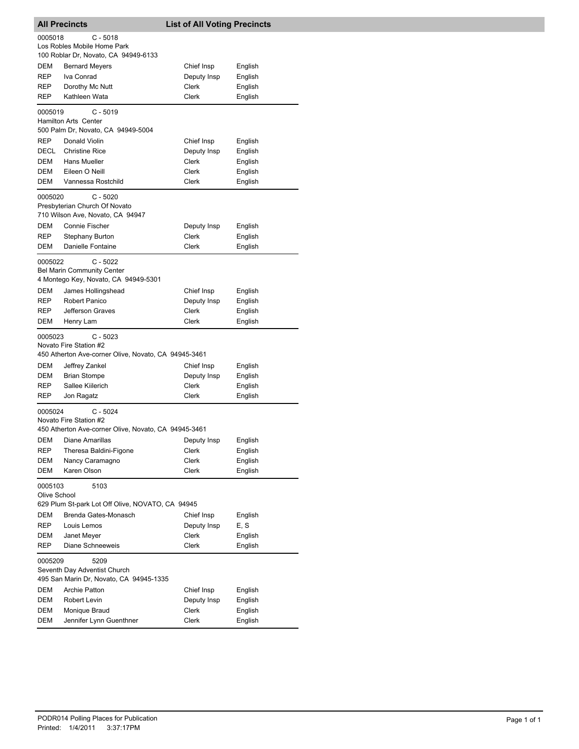| <b>All Precincts</b>                                                                       |                                                                                                          | <b>List of All Voting Precincts</b> |                    |  |
|--------------------------------------------------------------------------------------------|----------------------------------------------------------------------------------------------------------|-------------------------------------|--------------------|--|
| 0005018                                                                                    | $C - 5018$<br>Los Robles Mobile Home Park<br>100 Roblar Dr, Novato, CA 94949-6133                        |                                     |                    |  |
| DEM                                                                                        | Bernard Meyers                                                                                           | Chief Insp                          | English            |  |
| REP                                                                                        | Iva Conrad                                                                                               | Deputy Insp                         | English            |  |
| REP                                                                                        | Dorothy Mc Nutt                                                                                          | Clerk                               | English            |  |
| REP                                                                                        | Kathleen Wata                                                                                            | Clerk                               | English            |  |
| 0005019                                                                                    | $C - 5019$<br><b>Hamilton Arts Center</b><br>500 Palm Dr, Novato, CA 94949-5004                          |                                     |                    |  |
| <b>REP</b>                                                                                 | Donald Violin                                                                                            | Chief Insp                          | English            |  |
| DECL                                                                                       | <b>Christine Rice</b>                                                                                    | Deputy Insp                         | English            |  |
| DEM                                                                                        | Hans Mueller                                                                                             | Clerk                               | English            |  |
| DEM                                                                                        | Eileen O Neill                                                                                           | Clerk                               | English            |  |
| DEM                                                                                        | Vannessa Rostchild                                                                                       | Clerk                               | English            |  |
| 0005020<br>DEM                                                                             | $C - 5020$<br>Presbyterian Church Of Novato<br>710 Wilson Ave, Novato, CA 94947<br><b>Connie Fischer</b> |                                     |                    |  |
| REP                                                                                        |                                                                                                          | Deputy Insp<br>Clerk                | English            |  |
| DEM                                                                                        | Stephany Burton<br>Danielle Fontaine                                                                     | <b>Clerk</b>                        | English<br>English |  |
|                                                                                            |                                                                                                          |                                     |                    |  |
| 0005022                                                                                    | $C - 5022$<br><b>Bel Marin Community Center</b><br>4 Montego Key, Novato, CA 94949-5301                  |                                     |                    |  |
| DEM                                                                                        | James Hollingshead                                                                                       | Chief Insp                          | English            |  |
| REP                                                                                        | Robert Panico                                                                                            | Deputy Insp                         | English            |  |
| REP                                                                                        | Jefferson Graves                                                                                         | Clerk                               | English            |  |
| DEM                                                                                        | Henry Lam                                                                                                | Clerk                               | English            |  |
| 0005023                                                                                    | $C - 5023$<br>Novato Fire Station #2                                                                     |                                     |                    |  |
|                                                                                            | 450 Atherton Ave-corner Olive, Novato, CA 94945-3461                                                     |                                     |                    |  |
| DEM                                                                                        | Jeffrey Zankel                                                                                           | Chief Insp                          | English            |  |
| DEM                                                                                        | <b>Brian Stompe</b>                                                                                      | Deputy Insp                         | English            |  |
| REP                                                                                        | Sallee Kiilerich                                                                                         | Clerk                               | English            |  |
| REP                                                                                        | Jon Ragatz                                                                                               | Clerk                               | English            |  |
| $C - 5024$<br>0005024<br>Novato Fire Station #2                                            |                                                                                                          |                                     |                    |  |
|                                                                                            | 450 Atherton Ave-corner Olive, Novato, CA 94945-3461                                                     |                                     |                    |  |
| DEM                                                                                        | Diane Amarillas                                                                                          | Deputy Insp                         | English            |  |
| REP<br>DEM                                                                                 | Theresa Baldini-Figone                                                                                   | Clerk<br>Clerk                      | English            |  |
| <b>DEM</b>                                                                                 | Nancy Caramagno<br>Karen Olson                                                                           | Clerk                               | English<br>English |  |
| 0005103<br>5103<br>Olive School                                                            |                                                                                                          |                                     |                    |  |
|                                                                                            | 629 Plum St-park Lot Off Olive, NOVATO, CA 94945                                                         |                                     |                    |  |
| DEM                                                                                        | Brenda Gates-Monasch                                                                                     | Chief Insp                          | English            |  |
| REP                                                                                        | Louis Lemos                                                                                              | Deputy Insp                         | E, S               |  |
| DEM                                                                                        | Janet Meyer                                                                                              | Clerk                               | English            |  |
| REP                                                                                        | <b>Diane Schneeweis</b>                                                                                  | Clerk                               | English            |  |
| 0005209<br>5209<br>Seventh Day Adventist Church<br>495 San Marin Dr, Novato, CA 94945-1335 |                                                                                                          |                                     |                    |  |
| DEM                                                                                        | <b>Archie Patton</b>                                                                                     | Chief Insp                          | English            |  |
| DEM                                                                                        | Robert Levin                                                                                             | Deputy Insp                         | English            |  |
| DEM                                                                                        | Monique Braud                                                                                            | Clerk                               | English            |  |
| DEM                                                                                        | Jennifer Lynn Guenthner                                                                                  | Clerk                               | English            |  |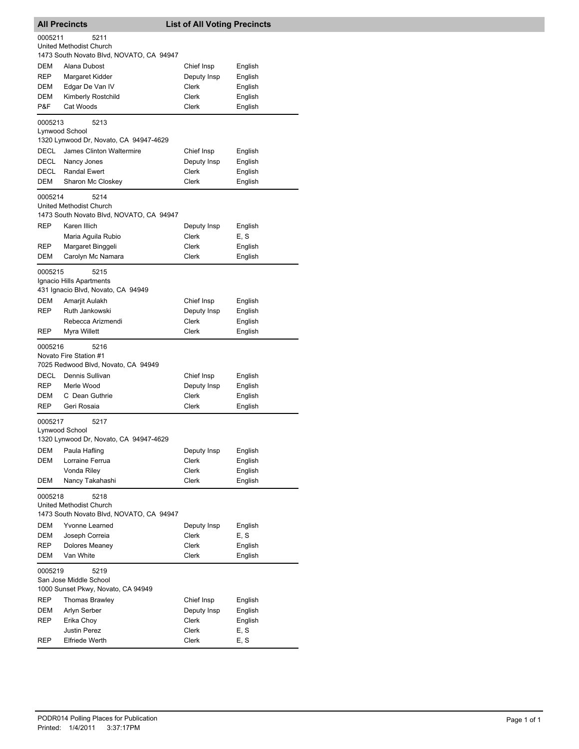| <b>All Precincts</b>                      |                                                                             | <b>List of All Voting Precincts</b> |                               |  |
|-------------------------------------------|-----------------------------------------------------------------------------|-------------------------------------|-------------------------------|--|
| 0005211                                   | 5211<br>United Methodist Church<br>1473 South Novato Blvd, NOVATO, CA 94947 |                                     |                               |  |
| <b>DEM</b><br><b>REP</b><br>DEM           | Alana Dubost<br>Margaret Kidder<br>Edgar De Van IV                          | Chief Insp<br>Deputy Insp<br>Clerk  | English<br>English<br>English |  |
| DEM<br>P&F                                | Kimberly Rostchild<br>Cat Woods                                             | Clerk<br>Clerk                      | English<br>English            |  |
| 0005213                                   | 5213<br>Lynwood School                                                      |                                     |                               |  |
| DECL                                      | 1320 Lynwood Dr, Novato, CA 94947-4629<br>James Clinton Waltermire          | Chief Insp                          | English                       |  |
| DECL<br>DECL                              | Nancy Jones<br><b>Randal Ewert</b>                                          | Deputy Insp<br>Clerk                | English<br>English            |  |
| DEM                                       | Sharon Mc Closkey                                                           | Clerk                               | English                       |  |
| 0005214                                   | 5214<br>United Methodist Church<br>1473 South Novato Blvd, NOVATO, CA 94947 |                                     |                               |  |
| <b>REP</b>                                | Karen Illich<br>Maria Aquila Rubio                                          | Deputy Insp<br>Clerk                | English<br>E, S               |  |
| REP<br><b>DEM</b>                         | Margaret Binggeli<br>Carolyn Mc Namara                                      | Clerk<br><b>Clerk</b>               | English<br>English            |  |
| 0005215                                   | 5215<br>Ignacio Hills Apartments<br>431 Ignacio Blvd, Novato, CA 94949      |                                     |                               |  |
| DEM<br>REP                                | Amarjit Aulakh<br>Ruth Jankowski                                            | Chief Insp<br>Deputy Insp           | English<br>English            |  |
| REP                                       | Rebecca Arizmendi<br>Myra Willett                                           | Clerk<br>Clerk                      | English<br>English            |  |
| 0005216                                   | 5216<br>Novato Fire Station #1                                              |                                     |                               |  |
| <b>DECL</b>                               | 7025 Redwood Blvd, Novato, CA 94949<br>Dennis Sullivan                      | Chief Insp                          | English                       |  |
| <b>REP</b>                                | Merle Wood                                                                  | Deputy Insp                         | English                       |  |
| DEM                                       | C Dean Guthrie                                                              | <b>Clerk</b>                        | English                       |  |
| REP                                       | Geri Rosaia<br>5217                                                         | Clerk                               | English                       |  |
| 0005217                                   | Lynwood School<br>1320 Lynwood Dr, Novato, CA 94947-4629                    |                                     |                               |  |
| DEM                                       | Paula Hafling                                                               | Deputy Insp                         | English                       |  |
| DEM                                       | Lorraine Ferrua<br>Vonda Riley                                              | Clerk<br>Clerk                      | English                       |  |
| DEM                                       | Nancy Takahashi                                                             | <b>Clerk</b>                        | English<br>English            |  |
| 0005218                                   | 5218<br>United Methodist Church<br>1473 South Novato Blvd, NOVATO, CA 94947 |                                     |                               |  |
| DEM                                       | Yvonne Learned                                                              | Deputy Insp                         | English                       |  |
| DEM                                       | Joseph Correia                                                              | Clerk                               | E, S                          |  |
| REP<br><b>DEM</b>                         | <b>Dolores Meaney</b><br>Van White                                          | Clerk<br>Clerk                      | English<br>English            |  |
| 0005219<br>5219<br>San Jose Middle School |                                                                             |                                     |                               |  |
| <b>REP</b>                                | 1000 Sunset Pkwy, Novato, CA 94949<br><b>Thomas Brawley</b>                 | Chief Insp                          | English                       |  |
| DEM                                       | Arlyn Serber                                                                | Deputy Insp                         | English                       |  |
| REP                                       | Erika Choy                                                                  | Clerk                               | English                       |  |
| REP                                       | <b>Justin Perez</b><br><b>Elfriede Werth</b>                                | Clerk<br>Clerk                      | E, S<br>E, S                  |  |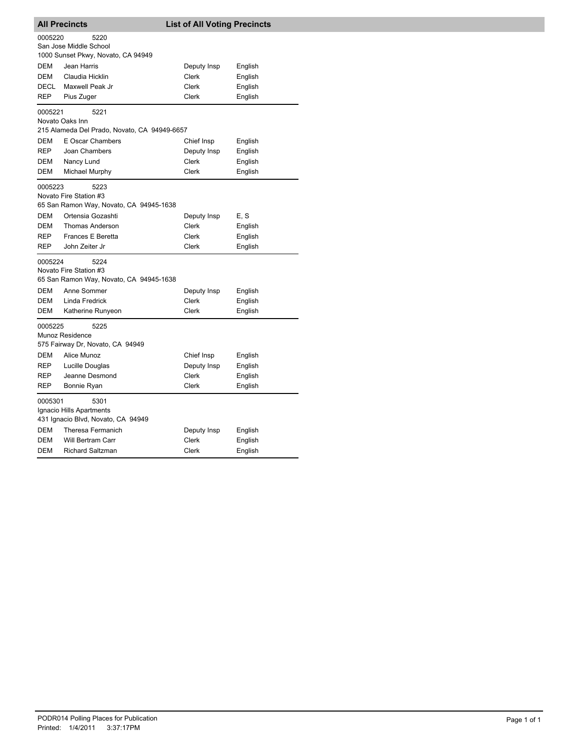|                                     | <b>All Precincts</b>                                                                                                                                                   | <b>List of All Voting Precincts</b>    |                                       |
|-------------------------------------|------------------------------------------------------------------------------------------------------------------------------------------------------------------------|----------------------------------------|---------------------------------------|
| 0005220                             | 5220<br>San Jose Middle School<br>1000 Sunset Pkwy, Novato, CA 94949                                                                                                   |                                        |                                       |
| DEM                                 | Jean Harris                                                                                                                                                            | Deputy Insp                            | English                               |
| <b>DEM</b>                          | Claudia Hicklin                                                                                                                                                        | <b>Clerk</b>                           | English                               |
| DECL                                | Maxwell Peak Jr                                                                                                                                                        | <b>Clerk</b>                           | English                               |
| <b>REP</b>                          | Pius Zuger                                                                                                                                                             | <b>Clerk</b>                           | English                               |
| 0005221                             | 5221<br>Novato Oaks Inn<br>215 Alameda Del Prado, Novato, CA 94949-6657                                                                                                |                                        |                                       |
| DEM                                 | E Oscar Chambers                                                                                                                                                       | Chief Insp                             | English                               |
| <b>REP</b>                          | Joan Chambers                                                                                                                                                          | Deputy Insp                            | English                               |
| DEM                                 | Nancy Lund                                                                                                                                                             | Clerk                                  | English                               |
| DEM                                 | Michael Murphy                                                                                                                                                         | Clerk                                  | English                               |
| 0005223<br>DEM<br>DEM<br>REP<br>REP | 5223<br>Novato Fire Station #3<br>65 San Ramon Way, Novato, CA 94945-1638<br>Ortensia Gozashti<br><b>Thomas Anderson</b><br><b>Frances E Beretta</b><br>John Zeiter Jr | Deputy Insp<br>Clerk<br>Clerk<br>Clerk | E, S<br>English<br>English<br>English |
| 0005224<br>DEM<br><b>DEM</b><br>DEM | 5224<br>Novato Fire Station #3<br>65 San Ramon Way, Novato, CA 94945-1638<br>Anne Sommer<br>Linda Fredrick<br>Katherine Runyeon                                        | Deputy Insp<br>Clerk<br>Clerk          | English<br>English<br>English         |
| 0005225                             | 5225<br>Munoz Residence<br>575 Fairway Dr, Novato, CA 94949                                                                                                            |                                        |                                       |
| DEM                                 | Alice Munoz                                                                                                                                                            | Chief Insp                             | English                               |
| REP                                 | Lucille Douglas                                                                                                                                                        | Deputy Insp                            | English                               |
| REP                                 | Jeanne Desmond                                                                                                                                                         | <b>Clerk</b>                           | English                               |
| REP                                 | Bonnie Ryan                                                                                                                                                            | Clerk                                  | English                               |
| 0005301<br><b>DEM</b><br>DEM        | 5301<br>Ignacio Hills Apartments<br>431 Ignacio Blvd, Novato, CA 94949<br><b>Theresa Fermanich</b><br>Will Bertram Carr                                                | Deputy Insp<br>Clerk                   | English<br>English                    |
| <b>DEM</b>                          | <b>Richard Saltzman</b>                                                                                                                                                | Clerk                                  | English                               |